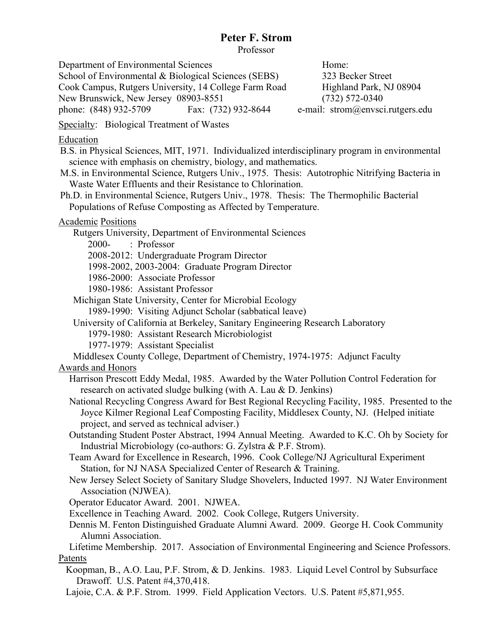Professor

Department of Environmental Sciences Home: School of Environmental & Biological Sciences (SEBS) 323 Becker Street Cook Campus, Rutgers University, 14 College Farm Road Highland Park, NJ 08904 New Brunswick, New Jersey 08903-8551 (732) 572-0340 phone: (848) 932-5709 Fax: (732) 932-8644 e-mail: strom@envsci.rutgers.edu Specialty: Biological Treatment of Wastes Education B.S. in Physical Sciences, MIT, 1971. Individualized interdisciplinary program in environmental science with emphasis on chemistry, biology, and mathematics. M.S. in Environmental Science, Rutgers Univ., 1975. Thesis: Autotrophic Nitrifying Bacteria in Waste Water Effluents and their Resistance to Chlorination. Ph.D. in Environmental Science, Rutgers Univ., 1978. Thesis: The Thermophilic Bacterial Populations of Refuse Composting as Affected by Temperature. Academic Positions Rutgers University, Department of Environmental Sciences 2000- : Professor 2008-2012: Undergraduate Program Director 1998-2002, 2003-2004: Graduate Program Director 1986-2000: Associate Professor 1980-1986: Assistant Professor Michigan State University, Center for Microbial Ecology 1989-1990: Visiting Adjunct Scholar (sabbatical leave) University of California at Berkeley, Sanitary Engineering Research Laboratory 1979-1980: Assistant Research Microbiologist 1977-1979: Assistant Specialist Middlesex County College, Department of Chemistry, 1974-1975: Adjunct Faculty Awards and Honors Harrison Prescott Eddy Medal, 1985. Awarded by the Water Pollution Control Federation for research on activated sludge bulking (with A. Lau & D. Jenkins) National Recycling Congress Award for Best Regional Recycling Facility, 1985. Presented to the Joyce Kilmer Regional Leaf Composting Facility, Middlesex County, NJ. (Helped initiate project, and served as technical adviser.) Outstanding Student Poster Abstract, 1994 Annual Meeting. Awarded to K.C. Oh by Society for Industrial Microbiology (co-authors: G. Zylstra & P.F. Strom). Team Award for Excellence in Research, 1996. Cook College/NJ Agricultural Experiment Station, for NJ NASA Specialized Center of Research & Training. New Jersey Select Society of Sanitary Sludge Shovelers, Inducted 1997. NJ Water Environment Association (NJWEA). Operator Educator Award. 2001. NJWEA. Excellence in Teaching Award. 2002. Cook College, Rutgers University. Dennis M. Fenton Distinguished Graduate Alumni Award. 2009. George H. Cook Community Alumni Association. Lifetime Membership. 2017. Association of Environmental Engineering and Science Professors. Patents Koopman, B., A.O. Lau, P.F. Strom, & D. Jenkins. 1983. Liquid Level Control by Subsurface Drawoff. U.S. Patent #4,370,418. Lajoie, C.A. & P.F. Strom. 1999. Field Application Vectors. U.S. Patent #5,871,955.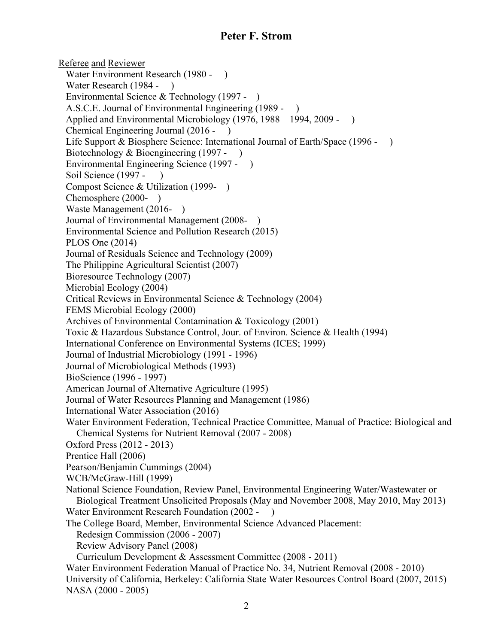Referee and Reviewer Water Environment Research (1980 - ) Water Research (1984 - ) Environmental Science & Technology (1997 - ) A.S.C.E. Journal of Environmental Engineering (1989 - ) Applied and Environmental Microbiology (1976, 1988 – 1994, 2009 - ) Chemical Engineering Journal (2016 - ) Life Support & Biosphere Science: International Journal of Earth/Space (1996 - ) Biotechnology & Bioengineering (1997 - ) Environmental Engineering Science (1997 - ) Soil Science (1997 - Compost Science & Utilization (1999- ) Chemosphere (2000- ) Waste Management (2016- ) Journal of Environmental Management (2008- ) Environmental Science and Pollution Research (2015) PLOS One (2014) Journal of Residuals Science and Technology (2009) The Philippine Agricultural Scientist (2007) Bioresource Technology (2007) Microbial Ecology (2004) Critical Reviews in Environmental Science & Technology (2004) FEMS Microbial Ecology (2000) Archives of Environmental Contamination & Toxicology (2001) Toxic & Hazardous Substance Control, Jour. of Environ. Science & Health (1994) International Conference on Environmental Systems (ICES; 1999) Journal of Industrial Microbiology (1991 - 1996) Journal of Microbiological Methods (1993) BioScience (1996 - 1997) American Journal of Alternative Agriculture (1995) Journal of Water Resources Planning and Management (1986) International Water Association (2016) Water Environment Federation, Technical Practice Committee, Manual of Practice: Biological and Chemical Systems for Nutrient Removal (2007 - 2008) Oxford Press (2012 - 2013) Prentice Hall (2006) Pearson/Benjamin Cummings (2004) WCB/McGraw-Hill (1999) National Science Foundation, Review Panel, Environmental Engineering Water/Wastewater or Biological Treatment Unsolicited Proposals (May and November 2008, May 2010, May 2013) Water Environment Research Foundation (2002 - ) The College Board, Member, Environmental Science Advanced Placement: Redesign Commission (2006 - 2007) Review Advisory Panel (2008) Curriculum Development & Assessment Committee (2008 - 2011) Water Environment Federation Manual of Practice No. 34, Nutrient Removal (2008 - 2010) University of California, Berkeley: California State Water Resources Control Board (2007, 2015) NASA (2000 - 2005)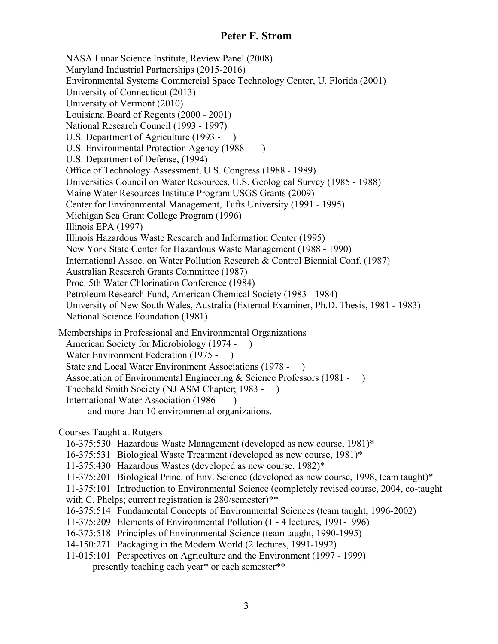NASA Lunar Science Institute, Review Panel (2008) Maryland Industrial Partnerships (2015-2016) Environmental Systems Commercial Space Technology Center, U. Florida (2001) University of Connecticut (2013) University of Vermont (2010) Louisiana Board of Regents (2000 - 2001) National Research Council (1993 - 1997) U.S. Department of Agriculture (1993 - ) U.S. Environmental Protection Agency (1988 - ) U.S. Department of Defense, (1994) Office of Technology Assessment, U.S. Congress (1988 - 1989) Universities Council on Water Resources, U.S. Geological Survey (1985 - 1988) Maine Water Resources Institute Program USGS Grants (2009) Center for Environmental Management, Tufts University (1991 - 1995) Michigan Sea Grant College Program (1996) Illinois EPA (1997) Illinois Hazardous Waste Research and Information Center (1995) New York State Center for Hazardous Waste Management (1988 - 1990) International Assoc. on Water Pollution Research & Control Biennial Conf. (1987) Australian Research Grants Committee (1987) Proc. 5th Water Chlorination Conference (1984) Petroleum Research Fund, American Chemical Society (1983 - 1984) University of New South Wales, Australia (External Examiner, Ph.D. Thesis, 1981 - 1983) National Science Foundation (1981) Memberships in Professional and Environmental Organizations

American Society for Microbiology (1974 - ) Water Environment Federation (1975 - ) State and Local Water Environment Associations (1978 - ) Association of Environmental Engineering & Science Professors (1981 - ) Theobald Smith Society (NJ ASM Chapter; 1983 - ) International Water Association (1986 - ) and more than 10 environmental organizations.

### Courses Taught at Rutgers

- 16-375:530 Hazardous Waste Management (developed as new course, 1981)\*
- 16-375:531 Biological Waste Treatment (developed as new course, 1981)\*
- 11-375:430 Hazardous Wastes (developed as new course, 1982)\*
- 11-375:201 Biological Princ. of Env. Science (developed as new course, 1998, team taught)\*
- 11-375:101 Introduction to Environmental Science (completely revised course, 2004, co-taught
- with C. Phelps; current registration is 280/semester)\*\*
- 16-375:514 Fundamental Concepts of Environmental Sciences (team taught, 1996-2002)
- 11-375:209 Elements of Environmental Pollution (1 4 lectures, 1991-1996)
- 16-375:518 Principles of Environmental Science (team taught, 1990-1995)
- 14-150:271 Packaging in the Modern World (2 lectures, 1991-1992)
- 11-015:101 Perspectives on Agriculture and the Environment (1997 1999) presently teaching each year\* or each semester\*\*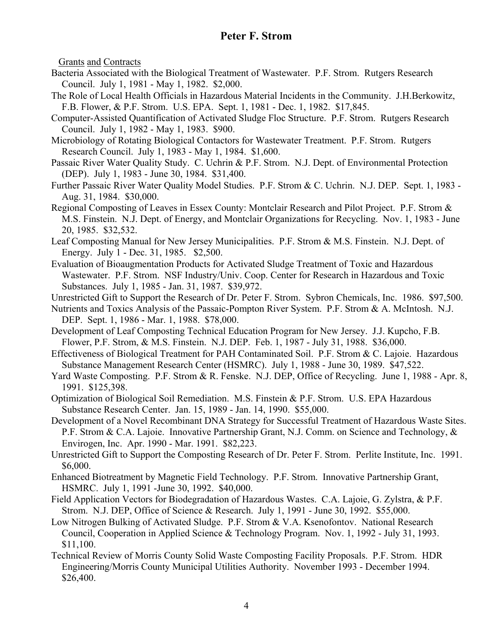Grants and Contracts

- Bacteria Associated with the Biological Treatment of Wastewater. P.F. Strom. Rutgers Research Council. July 1, 1981 - May 1, 1982. \$2,000.
- The Role of Local Health Officials in Hazardous Material Incidents in the Community. J.H.Berkowitz, F.B. Flower, & P.F. Strom. U.S. EPA. Sept. 1, 1981 - Dec. 1, 1982. \$17,845.
- Computer-Assisted Quantification of Activated Sludge Floc Structure. P.F. Strom. Rutgers Research Council. July 1, 1982 - May 1, 1983. \$900.
- Microbiology of Rotating Biological Contactors for Wastewater Treatment. P.F. Strom. Rutgers Research Council. July 1, 1983 - May 1, 1984. \$1,600.
- Passaic River Water Quality Study. C. Uchrin & P.F. Strom. N.J. Dept. of Environmental Protection (DEP). July 1, 1983 - June 30, 1984. \$31,400.
- Further Passaic River Water Quality Model Studies. P.F. Strom & C. Uchrin. N.J. DEP. Sept. 1, 1983 Aug. 31, 1984. \$30,000.
- Regional Composting of Leaves in Essex County: Montclair Research and Pilot Project. P.F. Strom & M.S. Finstein. N.J. Dept. of Energy, and Montclair Organizations for Recycling. Nov. 1, 1983 - June 20, 1985. \$32,532.
- Leaf Composting Manual for New Jersey Municipalities. P.F. Strom & M.S. Finstein. N.J. Dept. of Energy. July 1 - Dec. 31, 1985. \$2,500.
- Evaluation of Bioaugmentation Products for Activated Sludge Treatment of Toxic and Hazardous Wastewater. P.F. Strom. NSF Industry/Univ. Coop. Center for Research in Hazardous and Toxic Substances. July 1, 1985 - Jan. 31, 1987. \$39,972.
- Unrestricted Gift to Support the Research of Dr. Peter F. Strom. Sybron Chemicals, Inc. 1986. \$97,500.
- Nutrients and Toxics Analysis of the Passaic-Pompton River System. P.F. Strom & A. McIntosh. N.J. DEP. Sept. 1, 1986 - Mar. 1, 1988. \$78,000.
- Development of Leaf Composting Technical Education Program for New Jersey. J.J. Kupcho, F.B. Flower, P.F. Strom, & M.S. Finstein. N.J. DEP. Feb. 1, 1987 - July 31, 1988. \$36,000.
- Effectiveness of Biological Treatment for PAH Contaminated Soil. P.F. Strom & C. Lajoie. Hazardous Substance Management Research Center (HSMRC). July 1, 1988 - June 30, 1989. \$47,522.
- Yard Waste Composting. P.F. Strom & R. Fenske. N.J. DEP, Office of Recycling. June 1, 1988 Apr. 8, 1991. \$125,398.
- Optimization of Biological Soil Remediation. M.S. Finstein & P.F. Strom. U.S. EPA Hazardous Substance Research Center. Jan. 15, 1989 - Jan. 14, 1990. \$55,000.
- Development of a Novel Recombinant DNA Strategy for Successful Treatment of Hazardous Waste Sites. P.F. Strom & C.A. Lajoie. Innovative Partnership Grant, N.J. Comm. on Science and Technology, & Envirogen, Inc. Apr. 1990 - Mar. 1991. \$82,223.
- Unrestricted Gift to Support the Composting Research of Dr. Peter F. Strom. Perlite Institute, Inc. 1991. \$6,000.
- Enhanced Biotreatment by Magnetic Field Technology. P.F. Strom. Innovative Partnership Grant, HSMRC. July 1, 1991 -June 30, 1992. \$40,000.
- Field Application Vectors for Biodegradation of Hazardous Wastes. C.A. Lajoie, G. Zylstra, & P.F. Strom. N.J. DEP, Office of Science & Research. July 1, 1991 - June 30, 1992. \$55,000.
- Low Nitrogen Bulking of Activated Sludge. P.F. Strom & V.A. Ksenofontov. National Research Council, Cooperation in Applied Science & Technology Program. Nov. 1, 1992 - July 31, 1993. \$11,100.
- Technical Review of Morris County Solid Waste Composting Facility Proposals. P.F. Strom. HDR Engineering/Morris County Municipal Utilities Authority. November 1993 - December 1994. \$26,400.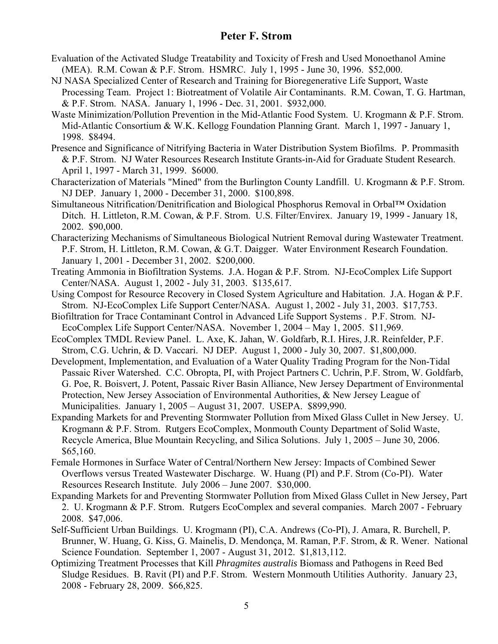- Evaluation of the Activated Sludge Treatability and Toxicity of Fresh and Used Monoethanol Amine (MEA). R.M. Cowan & P.F. Strom. HSMRC. July 1, 1995 - June 30, 1996. \$52,000.
- NJ NASA Specialized Center of Research and Training for Bioregenerative Life Support, Waste Processing Team. Project 1: Biotreatment of Volatile Air Contaminants. R.M. Cowan, T. G. Hartman, & P.F. Strom. NASA. January 1, 1996 - Dec. 31, 2001. \$932,000.
- Waste Minimization/Pollution Prevention in the Mid-Atlantic Food System. U. Krogmann & P.F. Strom. Mid-Atlantic Consortium & W.K. Kellogg Foundation Planning Grant. March 1, 1997 - January 1, 1998. \$8494.
- Presence and Significance of Nitrifying Bacteria in Water Distribution System Biofilms. P. Prommasith & P.F. Strom. NJ Water Resources Research Institute Grants-in-Aid for Graduate Student Research. April 1, 1997 - March 31, 1999. \$6000.
- Characterization of Materials "Mined" from the Burlington County Landfill. U. Krogmann & P.F. Strom. NJ DEP. January 1, 2000 - December 31, 2000. \$100,898.
- Simultaneous Nitrification/Denitrification and Biological Phosphorus Removal in Orbal™ Oxidation Ditch. H. Littleton, R.M. Cowan, & P.F. Strom. U.S. Filter/Envirex. January 19, 1999 - January 18, 2002. \$90,000.
- Characterizing Mechanisms of Simultaneous Biological Nutrient Removal during Wastewater Treatment. P.F. Strom, H. Littleton, R.M. Cowan, & G.T. Daigger. Water Environment Research Foundation. January 1, 2001 - December 31, 2002. \$200,000.
- Treating Ammonia in Biofiltration Systems. J.A. Hogan & P.F. Strom. NJ-EcoComplex Life Support Center/NASA. August 1, 2002 - July 31, 2003. \$135,617.
- Using Compost for Resource Recovery in Closed System Agriculture and Habitation. J.A. Hogan & P.F. Strom. NJ-EcoComplex Life Support Center/NASA. August 1, 2002 - July 31, 2003. \$17,753.
- Biofiltration for Trace Contaminant Control in Advanced Life Support Systems . P.F. Strom. NJ-EcoComplex Life Support Center/NASA. November 1, 2004 – May 1, 2005. \$11,969.
- EcoComplex TMDL Review Panel. L. Axe, K. Jahan, W. Goldfarb, R.I. Hires, J.R. Reinfelder, P.F. Strom, C.G. Uchrin, & D. Vaccari. NJ DEP. August 1, 2000 - July 30, 2007. \$1,800,000.
- Development, Implementation, and Evaluation of a Water Quality Trading Program for the Non-Tidal Passaic River Watershed. C.C. Obropta, PI, with Project Partners C. Uchrin, P.F. Strom, W. Goldfarb, G. Poe, R. Boisvert, J. Potent, Passaic River Basin Alliance, New Jersey Department of Environmental Protection, New Jersey Association of Environmental Authorities, & New Jersey League of Municipalities. January 1, 2005 – August 31, 2007. USEPA. \$899,990.
- Expanding Markets for and Preventing Stormwater Pollution from Mixed Glass Cullet in New Jersey. U. Krogmann & P.F. Strom. Rutgers EcoComplex, Monmouth County Department of Solid Waste, Recycle America, Blue Mountain Recycling, and Silica Solutions. July 1, 2005 – June 30, 2006. \$65,160.
- Female Hormones in Surface Water of Central/Northern New Jersey: Impacts of Combined Sewer Overflows versus Treated Wastewater Discharge. W. Huang (PI) and P.F. Strom (Co-PI). Water Resources Research Institute. July 2006 – June 2007. \$30,000.
- Expanding Markets for and Preventing Stormwater Pollution from Mixed Glass Cullet in New Jersey, Part 2. U. Krogmann & P.F. Strom. Rutgers EcoComplex and several companies. March 2007 - February 2008. \$47,006.
- Self-Sufficient Urban Buildings. U. Krogmann (PI), C.A. Andrews (Co-PI), J. Amara, R. Burchell, P. Brunner, W. Huang, G. Kiss, G. Mainelis, D. Mendonça, M. Raman, P.F. Strom, & R. Wener. National Science Foundation. September 1, 2007 - August 31, 2012. \$1,813,112.
- Optimizing Treatment Processes that Kill *Phragmites australis* Biomass and Pathogens in Reed Bed Sludge Residues. B. Ravit (PI) and P.F. Strom. Western Monmouth Utilities Authority. January 23, 2008 - February 28, 2009. \$66,825.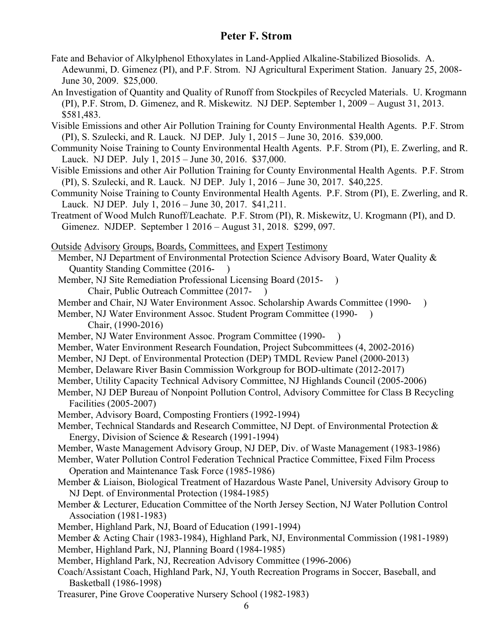- Fate and Behavior of Alkylphenol Ethoxylates in Land-Applied Alkaline-Stabilized Biosolids. A. Adewunmi, D. Gimenez (PI), and P.F. Strom. NJ Agricultural Experiment Station. January 25, 2008- June 30, 2009. \$25,000.
- An Investigation of Quantity and Quality of Runoff from Stockpiles of Recycled Materials. U. Krogmann (PI), P.F. Strom, D. Gimenez, and R. Miskewitz. NJ DEP. September 1, 2009 – August 31, 2013. \$581,483.

Visible Emissions and other Air Pollution Training for County Environmental Health Agents. P.F. Strom (PI), S. Szulecki, and R. Lauck. NJ DEP. July 1, 2015 – June 30, 2016. \$39,000.

Community Noise Training to County Environmental Health Agents. P.F. Strom (PI), E. Zwerling, and R. Lauck. NJ DEP. July 1, 2015 – June 30, 2016. \$37,000.

- Visible Emissions and other Air Pollution Training for County Environmental Health Agents. P.F. Strom (PI), S. Szulecki, and R. Lauck. NJ DEP. July 1, 2016 – June 30, 2017. \$40,225.
- Community Noise Training to County Environmental Health Agents. P.F. Strom (PI), E. Zwerling, and R. Lauck. NJ DEP. July 1, 2016 – June 30, 2017. \$41,211.
- Treatment of Wood Mulch Runoff/Leachate. P.F. Strom (PI), R. Miskewitz, U. Krogmann (PI), and D. Gimenez. NJDEP. September 1 2016 – August 31, 2018. \$299, 097.
- Outside Advisory Groups, Boards, Committees, and Expert Testimony
- Member, NJ Department of Environmental Protection Science Advisory Board, Water Quality & Quantity Standing Committee (2016- )
- Member, NJ Site Remediation Professional Licensing Board (2015- )
	- Chair, Public Outreach Committee (2017- )
- Member and Chair, NJ Water Environment Assoc. Scholarship Awards Committee (1990- )
- Member, NJ Water Environment Assoc. Student Program Committee (1990- ) Chair, (1990-2016)
- Member, NJ Water Environment Assoc. Program Committee (1990- )
- Member, Water Environment Research Foundation, Project Subcommittees (4, 2002-2016)
- Member, NJ Dept. of Environmental Protection (DEP) TMDL Review Panel (2000-2013)
- Member, Delaware River Basin Commission Workgroup for BOD-ultimate (2012-2017)
- Member, Utility Capacity Technical Advisory Committee, NJ Highlands Council (2005-2006)
- Member, NJ DEP Bureau of Nonpoint Pollution Control, Advisory Committee for Class B Recycling Facilities (2005-2007)
- Member, Advisory Board, Composting Frontiers (1992-1994)
- Member, Technical Standards and Research Committee, NJ Dept. of Environmental Protection & Energy, Division of Science & Research (1991-1994)
- Member, Waste Management Advisory Group, NJ DEP, Div. of Waste Management (1983-1986)
- Member, Water Pollution Control Federation Technical Practice Committee, Fixed Film Process Operation and Maintenance Task Force (1985-1986)
- Member & Liaison, Biological Treatment of Hazardous Waste Panel, University Advisory Group to NJ Dept. of Environmental Protection (1984-1985)
- Member & Lecturer, Education Committee of the North Jersey Section, NJ Water Pollution Control Association (1981-1983)
- Member, Highland Park, NJ, Board of Education (1991-1994)

Member & Acting Chair (1983-1984), Highland Park, NJ, Environmental Commission (1981-1989)

Member, Highland Park, NJ, Planning Board (1984-1985)

- Member, Highland Park, NJ, Recreation Advisory Committee (1996-2006)
- Coach/Assistant Coach, Highland Park, NJ, Youth Recreation Programs in Soccer, Baseball, and Basketball (1986-1998)
- Treasurer, Pine Grove Cooperative Nursery School (1982-1983)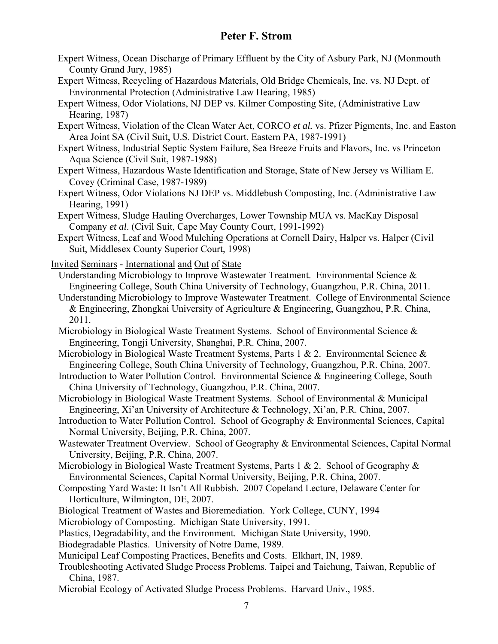- Expert Witness, Ocean Discharge of Primary Effluent by the City of Asbury Park, NJ (Monmouth County Grand Jury, 1985)
- Expert Witness, Recycling of Hazardous Materials, Old Bridge Chemicals, Inc. vs. NJ Dept. of Environmental Protection (Administrative Law Hearing, 1985)
- Expert Witness, Odor Violations, NJ DEP vs. Kilmer Composting Site, (Administrative Law Hearing, 1987)
- Expert Witness, Violation of the Clean Water Act, CORCO *et al.* vs. Pfizer Pigments, Inc. and Easton Area Joint SA (Civil Suit, U.S. District Court, Eastern PA, 1987-1991)
- Expert Witness, Industrial Septic System Failure, Sea Breeze Fruits and Flavors, Inc. vs Princeton Aqua Science (Civil Suit, 1987-1988)
- Expert Witness, Hazardous Waste Identification and Storage, State of New Jersey vs William E. Covey (Criminal Case, 1987-1989)
- Expert Witness, Odor Violations NJ DEP vs. Middlebush Composting, Inc. (Administrative Law Hearing, 1991)
- Expert Witness, Sludge Hauling Overcharges, Lower Township MUA vs. MacKay Disposal Company *et al*. (Civil Suit, Cape May County Court, 1991-1992)
- Expert Witness, Leaf and Wood Mulching Operations at Cornell Dairy, Halper vs. Halper (Civil Suit, Middlesex County Superior Court, 1998)
- Invited Seminars International and Out of State
	- Understanding Microbiology to Improve Wastewater Treatment. Environmental Science & Engineering College, South China University of Technology, Guangzhou, P.R. China, 2011.
	- Understanding Microbiology to Improve Wastewater Treatment. College of Environmental Science & Engineering, Zhongkai University of Agriculture & Engineering, Guangzhou, P.R. China, 2011.
	- Microbiology in Biological Waste Treatment Systems. School of Environmental Science & Engineering, Tongji University, Shanghai, P.R. China, 2007.
	- Microbiology in Biological Waste Treatment Systems, Parts 1 & 2. Environmental Science & Engineering College, South China University of Technology, Guangzhou, P.R. China, 2007.
	- Introduction to Water Pollution Control. Environmental Science & Engineering College, South China University of Technology, Guangzhou, P.R. China, 2007.
	- Microbiology in Biological Waste Treatment Systems. School of Environmental & Municipal Engineering, Xi'an University of Architecture & Technology, Xi'an, P.R. China, 2007.
	- Introduction to Water Pollution Control. School of Geography & Environmental Sciences, Capital Normal University, Beijing, P.R. China, 2007.
	- Wastewater Treatment Overview. School of Geography & Environmental Sciences, Capital Normal University, Beijing, P.R. China, 2007.
	- Microbiology in Biological Waste Treatment Systems, Parts 1 & 2. School of Geography & Environmental Sciences, Capital Normal University, Beijing, P.R. China, 2007.
	- Composting Yard Waste: It Isn't All Rubbish. 2007 Copeland Lecture, Delaware Center for Horticulture, Wilmington, DE, 2007.
	- Biological Treatment of Wastes and Bioremediation. York College, CUNY, 1994
	- Microbiology of Composting. Michigan State University, 1991.
	- Plastics, Degradability, and the Environment. Michigan State University, 1990.
	- Biodegradable Plastics. University of Notre Dame, 1989.
	- Municipal Leaf Composting Practices, Benefits and Costs. Elkhart, IN, 1989.
	- Troubleshooting Activated Sludge Process Problems. Taipei and Taichung, Taiwan, Republic of China, 1987.
	- Microbial Ecology of Activated Sludge Process Problems. Harvard Univ., 1985.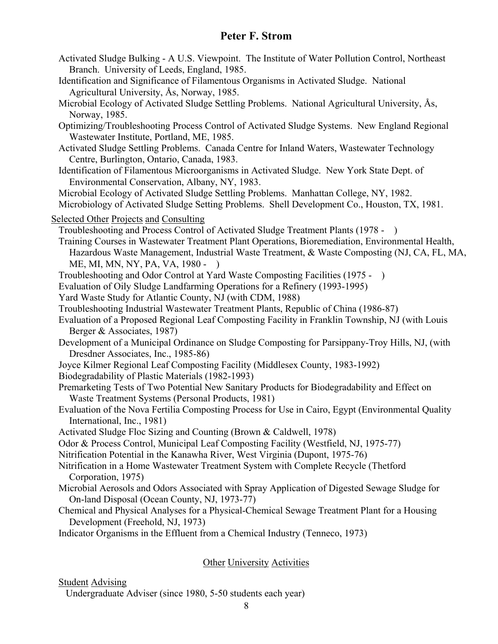- Activated Sludge Bulking A U.S. Viewpoint. The Institute of Water Pollution Control, Northeast Branch. University of Leeds, England, 1985.
- Identification and Significance of Filamentous Organisms in Activated Sludge. National Agricultural University, Ås, Norway, 1985.
- Microbial Ecology of Activated Sludge Settling Problems. National Agricultural University, Ås, Norway, 1985.
- Optimizing/Troubleshooting Process Control of Activated Sludge Systems. New England Regional Wastewater Institute, Portland, ME, 1985.
- Activated Sludge Settling Problems. Canada Centre for Inland Waters, Wastewater Technology Centre, Burlington, Ontario, Canada, 1983.
- Identification of Filamentous Microorganisms in Activated Sludge. New York State Dept. of Environmental Conservation, Albany, NY, 1983.

Microbial Ecology of Activated Sludge Settling Problems. Manhattan College, NY, 1982.

- Microbiology of Activated Sludge Setting Problems. Shell Development Co., Houston, TX, 1981.
- Selected Other Projects and Consulting

Troubleshooting and Process Control of Activated Sludge Treatment Plants (1978 - )

- Training Courses in Wastewater Treatment Plant Operations, Bioremediation, Environmental Health, Hazardous Waste Management, Industrial Waste Treatment, & Waste Composting (NJ, CA, FL, MA, ME, MI, MN, NY, PA, VA, 1980 - )
- Troubleshooting and Odor Control at Yard Waste Composting Facilities (1975 )
- Evaluation of Oily Sludge Landfarming Operations for a Refinery (1993-1995)
- Yard Waste Study for Atlantic County, NJ (with CDM, 1988)
- Troubleshooting Industrial Wastewater Treatment Plants, Republic of China (1986-87)
- Evaluation of a Proposed Regional Leaf Composting Facility in Franklin Township, NJ (with Louis Berger & Associates, 1987)
- Development of a Municipal Ordinance on Sludge Composting for Parsippany-Troy Hills, NJ, (with Dresdner Associates, Inc., 1985-86)
- Joyce Kilmer Regional Leaf Composting Facility (Middlesex County, 1983-1992)
- Biodegradability of Plastic Materials (1982-1993)
- Premarketing Tests of Two Potential New Sanitary Products for Biodegradability and Effect on Waste Treatment Systems (Personal Products, 1981)
- Evaluation of the Nova Fertilia Composting Process for Use in Cairo, Egypt (Environmental Quality International, Inc., 1981)
- Activated Sludge Floc Sizing and Counting (Brown & Caldwell, 1978)
- Odor & Process Control, Municipal Leaf Composting Facility (Westfield, NJ, 1975-77)
- Nitrification Potential in the Kanawha River, West Virginia (Dupont, 1975-76)
- Nitrification in a Home Wastewater Treatment System with Complete Recycle (Thetford Corporation, 1975)
- Microbial Aerosols and Odors Associated with Spray Application of Digested Sewage Sludge for On-land Disposal (Ocean County, NJ, 1973-77)
- Chemical and Physical Analyses for a Physical-Chemical Sewage Treatment Plant for a Housing Development (Freehold, NJ, 1973)
- Indicator Organisms in the Effluent from a Chemical Industry (Tenneco, 1973)

## **Other University Activities**

Student Advising

Undergraduate Adviser (since 1980, 5-50 students each year)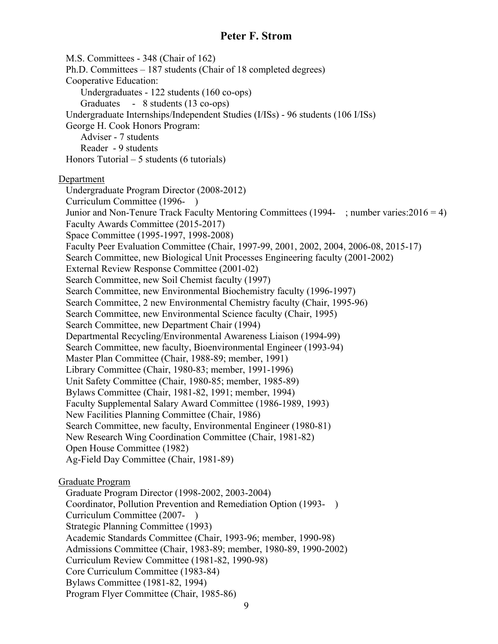M.S. Committees - 348 (Chair of 162) Ph.D. Committees – 187 students (Chair of 18 completed degrees) Cooperative Education: Undergraduates - 122 students (160 co-ops) Graduates - 8 students (13 co-ops) Undergraduate Internships/Independent Studies (I/ISs) - 96 students (106 I/ISs) George H. Cook Honors Program: Adviser - 7 students Reader - 9 students Honors Tutorial – 5 students (6 tutorials) Department Undergraduate Program Director (2008-2012) Curriculum Committee (1996- ) Junior and Non-Tenure Track Faculty Mentoring Committees (1994- ; number varies:2016 = 4) Faculty Awards Committee (2015-2017) Space Committee (1995-1997, 1998-2008) Faculty Peer Evaluation Committee (Chair, 1997-99, 2001, 2002, 2004, 2006-08, 2015-17) Search Committee, new Biological Unit Processes Engineering faculty (2001-2002) External Review Response Committee (2001-02) Search Committee, new Soil Chemist faculty (1997) Search Committee, new Environmental Biochemistry faculty (1996-1997) Search Committee, 2 new Environmental Chemistry faculty (Chair, 1995-96) Search Committee, new Environmental Science faculty (Chair, 1995) Search Committee, new Department Chair (1994) Departmental Recycling/Environmental Awareness Liaison (1994-99) Search Committee, new faculty, Bioenvironmental Engineer (1993-94) Master Plan Committee (Chair, 1988-89; member, 1991) Library Committee (Chair, 1980-83; member, 1991-1996) Unit Safety Committee (Chair, 1980-85; member, 1985-89) Bylaws Committee (Chair, 1981-82, 1991; member, 1994) Faculty Supplemental Salary Award Committee (1986-1989, 1993) New Facilities Planning Committee (Chair, 1986) Search Committee, new faculty, Environmental Engineer (1980-81) New Research Wing Coordination Committee (Chair, 1981-82) Open House Committee (1982) Ag-Field Day Committee (Chair, 1981-89) Graduate Program Graduate Program Director (1998-2002, 2003-2004) Coordinator, Pollution Prevention and Remediation Option (1993- ) Curriculum Committee (2007- ) Strategic Planning Committee (1993) Academic Standards Committee (Chair, 1993-96; member, 1990-98) Admissions Committee (Chair, 1983-89; member, 1980-89, 1990-2002) Curriculum Review Committee (1981-82, 1990-98) Core Curriculum Committee (1983-84) Bylaws Committee (1981-82, 1994) Program Flyer Committee (Chair, 1985-86)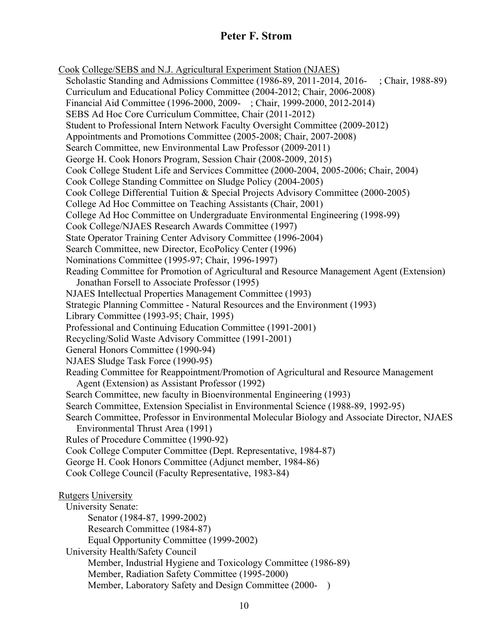Cook College/SEBS and N.J. Agricultural Experiment Station (NJAES) Scholastic Standing and Admissions Committee (1986-89, 2011-2014, 2016- ; Chair, 1988-89) Curriculum and Educational Policy Committee (2004-2012; Chair, 2006-2008) Financial Aid Committee (1996-2000, 2009- ; Chair, 1999-2000, 2012-2014) SEBS Ad Hoc Core Curriculum Committee, Chair (2011-2012) Student to Professional Intern Network Faculty Oversight Committee (2009-2012) Appointments and Promotions Committee (2005-2008; Chair, 2007-2008) Search Committee, new Environmental Law Professor (2009-2011) George H. Cook Honors Program, Session Chair (2008-2009, 2015) Cook College Student Life and Services Committee (2000-2004, 2005-2006; Chair, 2004) Cook College Standing Committee on Sludge Policy (2004-2005) Cook College Differential Tuition & Special Projects Advisory Committee (2000-2005) College Ad Hoc Committee on Teaching Assistants (Chair, 2001) College Ad Hoc Committee on Undergraduate Environmental Engineering (1998-99) Cook College/NJAES Research Awards Committee (1997) State Operator Training Center Advisory Committee (1996-2004) Search Committee, new Director, EcoPolicy Center (1996) Nominations Committee (1995-97; Chair, 1996-1997) Reading Committee for Promotion of Agricultural and Resource Management Agent (Extension) Jonathan Forsell to Associate Professor (1995) NJAES Intellectual Properties Management Committee (1993) Strategic Planning Committee - Natural Resources and the Environment (1993) Library Committee (1993-95; Chair, 1995) Professional and Continuing Education Committee (1991-2001) Recycling/Solid Waste Advisory Committee (1991-2001) General Honors Committee (1990-94) NJAES Sludge Task Force (1990-95) Reading Committee for Reappointment/Promotion of Agricultural and Resource Management Agent (Extension) as Assistant Professor (1992) Search Committee, new faculty in Bioenvironmental Engineering (1993) Search Committee, Extension Specialist in Environmental Science (1988-89, 1992-95) Search Committee, Professor in Environmental Molecular Biology and Associate Director, NJAES Environmental Thrust Area (1991) Rules of Procedure Committee (1990-92) Cook College Computer Committee (Dept. Representative, 1984-87) George H. Cook Honors Committee (Adjunct member, 1984-86) Cook College Council (Faculty Representative, 1983-84) Rutgers University University Senate: Senator (1984-87, 1999-2002) Research Committee (1984-87) Equal Opportunity Committee (1999-2002) University Health/Safety Council Member, Industrial Hygiene and Toxicology Committee (1986-89) Member, Radiation Safety Committee (1995-2000) Member, Laboratory Safety and Design Committee (2000-)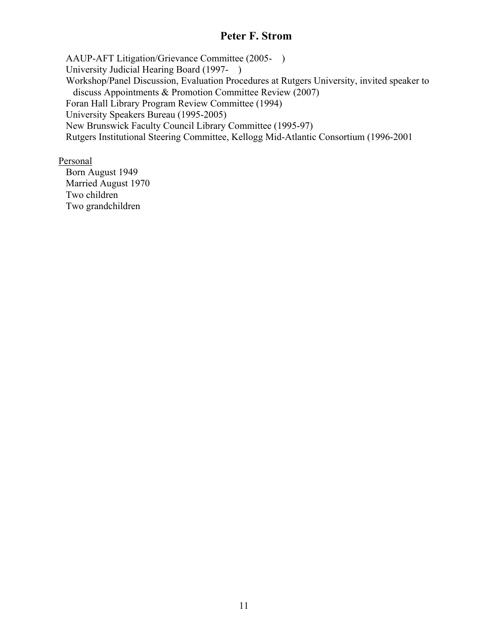AAUP-AFT Litigation/Grievance Committee (2005- ) University Judicial Hearing Board (1997- ) Workshop/Panel Discussion, Evaluation Procedures at Rutgers University, invited speaker to discuss Appointments & Promotion Committee Review (2007) Foran Hall Library Program Review Committee (1994) University Speakers Bureau (1995-2005) New Brunswick Faculty Council Library Committee (1995-97) Rutgers Institutional Steering Committee, Kellogg Mid-Atlantic Consortium (1996-2001

Personal

 Born August 1949 Married August 1970 Two children Two grandchildren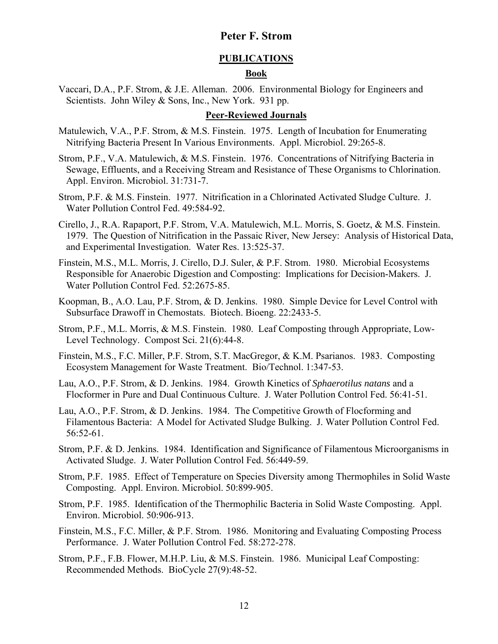### **PUBLICATIONS Book**

Vaccari, D.A., P.F. Strom, & J.E. Alleman. 2006. Environmental Biology for Engineers and Scientists. John Wiley & Sons, Inc., New York. 931 pp.

#### **Peer-Reviewed Journals**

- Matulewich, V.A., P.F. Strom, & M.S. Finstein. 1975. Length of Incubation for Enumerating Nitrifying Bacteria Present In Various Environments. Appl. Microbiol. 29:265-8.
- Strom, P.F., V.A. Matulewich, & M.S. Finstein. 1976. Concentrations of Nitrifying Bacteria in Sewage, Effluents, and a Receiving Stream and Resistance of These Organisms to Chlorination. Appl. Environ. Microbiol. 31:731-7.
- Strom, P.F. & M.S. Finstein. 1977. Nitrification in a Chlorinated Activated Sludge Culture. J. Water Pollution Control Fed. 49:584-92.
- Cirello, J., R.A. Rapaport, P.F. Strom, V.A. Matulewich, M.L. Morris, S. Goetz, & M.S. Finstein. 1979. The Question of Nitrification in the Passaic River, New Jersey: Analysis of Historical Data, and Experimental Investigation. Water Res. 13:525-37.
- Finstein, M.S., M.L. Morris, J. Cirello, D.J. Suler, & P.F. Strom. 1980. Microbial Ecosystems Responsible for Anaerobic Digestion and Composting: Implications for Decision-Makers. J. Water Pollution Control Fed. 52:2675-85.
- Koopman, B., A.O. Lau, P.F. Strom, & D. Jenkins. 1980. Simple Device for Level Control with Subsurface Drawoff in Chemostats. Biotech. Bioeng. 22:2433-5.
- Strom, P.F., M.L. Morris, & M.S. Finstein. 1980. Leaf Composting through Appropriate, Low-Level Technology. Compost Sci. 21(6):44-8.
- Finstein, M.S., F.C. Miller, P.F. Strom, S.T. MacGregor, & K.M. Psarianos. 1983. Composting Ecosystem Management for Waste Treatment. Bio/Technol. 1:347-53.
- Lau, A.O., P.F. Strom, & D. Jenkins. 1984. Growth Kinetics of *Sphaerotilus natans* and a Flocformer in Pure and Dual Continuous Culture. J. Water Pollution Control Fed. 56:41-51.
- Lau, A.O., P.F. Strom, & D. Jenkins. 1984. The Competitive Growth of Flocforming and Filamentous Bacteria: A Model for Activated Sludge Bulking. J. Water Pollution Control Fed. 56:52-61.
- Strom, P.F. & D. Jenkins. 1984. Identification and Significance of Filamentous Microorganisms in Activated Sludge. J. Water Pollution Control Fed. 56:449-59.
- Strom, P.F. 1985. Effect of Temperature on Species Diversity among Thermophiles in Solid Waste Composting. Appl. Environ. Microbiol. 50:899-905.
- Strom, P.F. 1985. Identification of the Thermophilic Bacteria in Solid Waste Composting. Appl. Environ. Microbiol. 50:906-913.
- Finstein, M.S., F.C. Miller, & P.F. Strom. 1986. Monitoring and Evaluating Composting Process Performance. J. Water Pollution Control Fed. 58:272-278.
- Strom, P.F., F.B. Flower, M.H.P. Liu, & M.S. Finstein. 1986. Municipal Leaf Composting: Recommended Methods. BioCycle 27(9):48-52.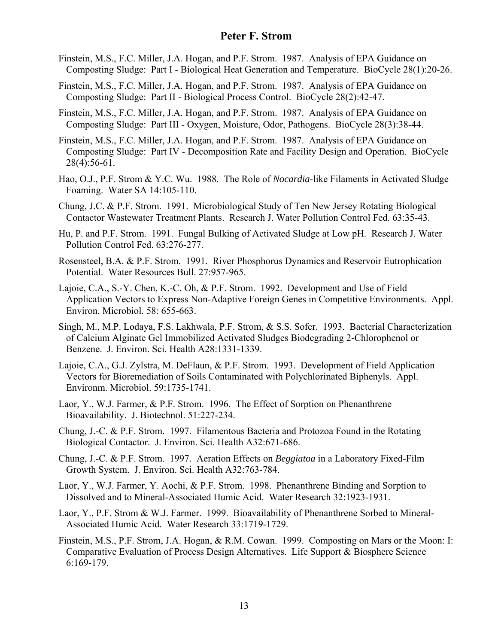- Finstein, M.S., F.C. Miller, J.A. Hogan, and P.F. Strom. 1987. Analysis of EPA Guidance on Composting Sludge: Part I - Biological Heat Generation and Temperature. BioCycle 28(1):20-26.
- Finstein, M.S., F.C. Miller, J.A. Hogan, and P.F. Strom. 1987. Analysis of EPA Guidance on Composting Sludge: Part II - Biological Process Control. BioCycle 28(2):42-47.
- Finstein, M.S., F.C. Miller, J.A. Hogan, and P.F. Strom. 1987. Analysis of EPA Guidance on Composting Sludge: Part III - Oxygen, Moisture, Odor, Pathogens. BioCycle 28(3):38-44.
- Finstein, M.S., F.C. Miller, J.A. Hogan, and P.F. Strom. 1987. Analysis of EPA Guidance on Composting Sludge: Part IV - Decomposition Rate and Facility Design and Operation. BioCycle 28(4):56-61.
- Hao, O.J., P.F. Strom & Y.C. Wu. 1988. The Role of *Nocardia*-like Filaments in Activated Sludge Foaming. Water SA 14:105-110.
- Chung, J.C. & P.F. Strom. 1991. Microbiological Study of Ten New Jersey Rotating Biological Contactor Wastewater Treatment Plants. Research J. Water Pollution Control Fed. 63:35-43.
- Hu, P. and P.F. Strom. 1991. Fungal Bulking of Activated Sludge at Low pH. Research J. Water Pollution Control Fed. 63:276-277.
- Rosensteel, B.A. & P.F. Strom. 1991. River Phosphorus Dynamics and Reservoir Eutrophication Potential. Water Resources Bull. 27:957-965.
- Lajoie, C.A., S.-Y. Chen, K.-C. Oh, & P.F. Strom. 1992. Development and Use of Field Application Vectors to Express Non-Adaptive Foreign Genes in Competitive Environments. Appl. Environ. Microbiol. 58: 655-663.
- Singh, M., M.P. Lodaya, F.S. Lakhwala, P.F. Strom, & S.S. Sofer. 1993. Bacterial Characterization of Calcium Alginate Gel Immobilized Activated Sludges Biodegrading 2-Chlorophenol or Benzene. J. Environ. Sci. Health A28:1331-1339.
- Lajoie, C.A., G.J. Zylstra, M. DeFlaun, & P.F. Strom. 1993. Development of Field Application Vectors for Bioremediation of Soils Contaminated with Polychlorinated Biphenyls. Appl. Environm. Microbiol. 59:1735-1741.
- Laor, Y., W.J. Farmer, & P.F. Strom. 1996. The Effect of Sorption on Phenanthrene Bioavailability. J. Biotechnol. 51:227-234.
- Chung, J.-C. & P.F. Strom. 1997. Filamentous Bacteria and Protozoa Found in the Rotating Biological Contactor. J. Environ. Sci. Health A32:671-686.
- Chung, J.-C. & P.F. Strom. 1997. Aeration Effects on *Beggiatoa* in a Laboratory Fixed-Film Growth System. J. Environ. Sci. Health A32:763-784.
- Laor, Y., W.J. Farmer, Y. Aochi, & P.F. Strom. 1998. Phenanthrene Binding and Sorption to Dissolved and to Mineral-Associated Humic Acid. Water Research 32:1923-1931.
- Laor, Y., P.F. Strom & W.J. Farmer. 1999. Bioavailability of Phenanthrene Sorbed to Mineral-Associated Humic Acid. Water Research 33:1719-1729.
- Finstein, M.S., P.F. Strom, J.A. Hogan, & R.M. Cowan. 1999. Composting on Mars or the Moon: I: Comparative Evaluation of Process Design Alternatives. Life Support & Biosphere Science 6:169-179.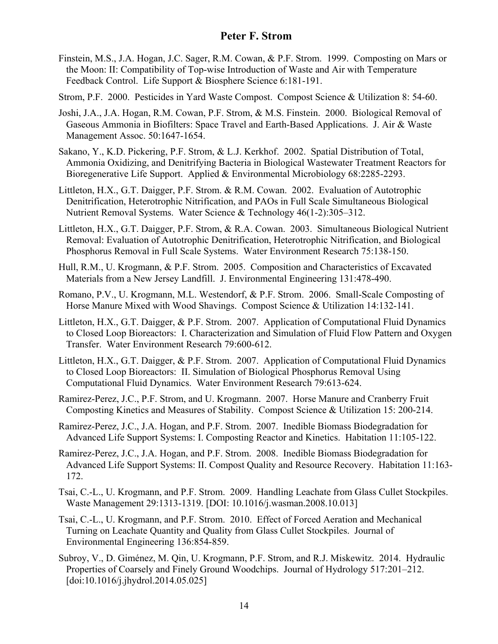- Finstein, M.S., J.A. Hogan, J.C. Sager, R.M. Cowan, & P.F. Strom. 1999. Composting on Mars or the Moon: II: Compatibility of Top-wise Introduction of Waste and Air with Temperature Feedback Control. Life Support & Biosphere Science 6:181-191.
- Strom, P.F. 2000. Pesticides in Yard Waste Compost. Compost Science & Utilization 8: 54-60.
- Joshi, J.A., J.A. Hogan, R.M. Cowan, P.F. Strom, & M.S. Finstein. 2000. Biological Removal of Gaseous Ammonia in Biofilters: Space Travel and Earth-Based Applications. J. Air & Waste Management Assoc. 50:1647-1654.
- Sakano, Y., K.D. Pickering, P.F. Strom, & L.J. Kerkhof. 2002. Spatial Distribution of Total, Ammonia Oxidizing, and Denitrifying Bacteria in Biological Wastewater Treatment Reactors for Bioregenerative Life Support. Applied & Environmental Microbiology 68:2285-2293.
- Littleton, H.X., G.T. Daigger, P.F. Strom. & R.M. Cowan. 2002. Evaluation of Autotrophic Denitrification, Heterotrophic Nitrification, and PAOs in Full Scale Simultaneous Biological Nutrient Removal Systems. Water Science & Technology 46(1-2):305–312.
- Littleton, H.X., G.T. Daigger, P.F. Strom, & R.A. Cowan. 2003. Simultaneous Biological Nutrient Removal: Evaluation of Autotrophic Denitrification, Heterotrophic Nitrification, and Biological Phosphorus Removal in Full Scale Systems. Water Environment Research 75:138-150.
- Hull, R.M., U. Krogmann, & P.F. Strom. 2005. Composition and Characteristics of Excavated Materials from a New Jersey Landfill. J. Environmental Engineering 131:478-490.
- Romano, P.V., U. Krogmann, M.L. Westendorf, & P.F. Strom. 2006. Small-Scale Composting of Horse Manure Mixed with Wood Shavings. Compost Science & Utilization 14:132-141.
- Littleton, H.X., G.T. Daigger, & P.F. Strom. 2007. Application of Computational Fluid Dynamics to Closed Loop Bioreactors: I. Characterization and Simulation of Fluid Flow Pattern and Oxygen Transfer. Water Environment Research 79:600-612.
- Littleton, H.X., G.T. Daigger, & P.F. Strom. 2007. Application of Computational Fluid Dynamics to Closed Loop Bioreactors: II. Simulation of Biological Phosphorus Removal Using Computational Fluid Dynamics. Water Environment Research 79:613-624.
- Ramirez-Perez, J.C., P.F. Strom, and U. Krogmann. 2007. Horse Manure and Cranberry Fruit Composting Kinetics and Measures of Stability. Compost Science & Utilization 15: 200-214.
- Ramirez-Perez, J.C., J.A. Hogan, and P.F. Strom. 2007. Inedible Biomass Biodegradation for Advanced Life Support Systems: I. Composting Reactor and Kinetics. Habitation 11:105-122.
- Ramirez-Perez, J.C., J.A. Hogan, and P.F. Strom. 2008. Inedible Biomass Biodegradation for Advanced Life Support Systems: II. Compost Quality and Resource Recovery. Habitation 11:163- 172.
- Tsai, C.-L., U. Krogmann, and P.F. Strom. 2009. Handling Leachate from Glass Cullet Stockpiles. Waste Management 29:1313-1319. [DOI: 10.1016/j.wasman.2008.10.013]
- Tsai, C.-L., U. Krogmann, and P.F. Strom. 2010. Effect of Forced Aeration and Mechanical Turning on Leachate Quantity and Quality from Glass Cullet Stockpiles. Journal of Environmental Engineering 136:854-859.
- Subroy, V., D. Giménez, M. Qin, U. Krogmann, P.F. Strom, and R.J. Miskewitz. 2014. Hydraulic Properties of Coarsely and Finely Ground Woodchips. Journal of Hydrology 517:201–212. [doi:10.1016/j.jhydrol.2014.05.025]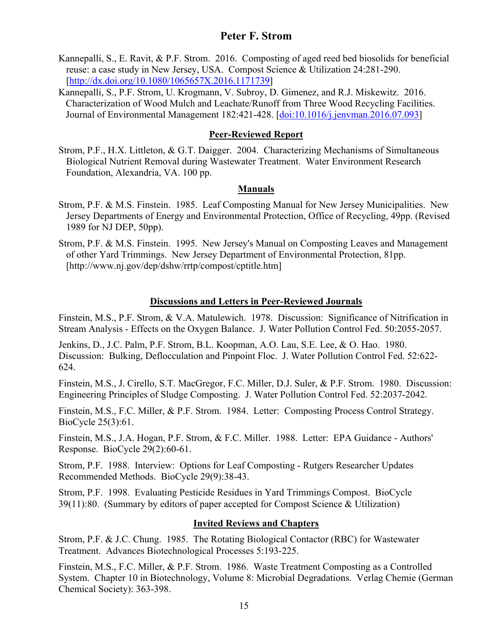- Kannepalli, S., E. Ravit, & P.F. Strom. 2016. Composting of aged reed bed biosolids for beneficial reuse: a case study in New Jersey, USA. Compost Science & Utilization 24:281-290. [http://dx.doi.org/10.1080/1065657X.2016.1171739]
- Kannepalli, S., P.F. Strom, U. Krogmann, V. Subroy, D. Gimenez, and R.J. Miskewitz. 2016. Characterization of Wood Mulch and Leachate/Runoff from Three Wood Recycling Facilities. Journal of Environmental Management 182:421-428. [doi:10.1016/j.jenvman.2016.07.093]

### **Peer-Reviewed Report**

Strom, P.F., H.X. Littleton, & G.T. Daigger. 2004. Characterizing Mechanisms of Simultaneous Biological Nutrient Removal during Wastewater Treatment. Water Environment Research Foundation, Alexandria, VA. 100 pp.

### **Manuals**

- Strom, P.F. & M.S. Finstein. 1985. Leaf Composting Manual for New Jersey Municipalities. New Jersey Departments of Energy and Environmental Protection, Office of Recycling, 49pp. (Revised 1989 for NJ DEP, 50pp).
- Strom, P.F. & M.S. Finstein. 1995. New Jersey's Manual on Composting Leaves and Management of other Yard Trimmings. New Jersey Department of Environmental Protection, 81pp. [http://www.nj.gov/dep/dshw/rrtp/compost/cptitle.htm]

### **Discussions and Letters in Peer-Reviewed Journals**

Finstein, M.S., P.F. Strom, & V.A. Matulewich. 1978. Discussion: Significance of Nitrification in Stream Analysis - Effects on the Oxygen Balance. J. Water Pollution Control Fed. 50:2055-2057.

Jenkins, D., J.C. Palm, P.F. Strom, B.L. Koopman, A.O. Lau, S.E. Lee, & O. Hao. 1980. Discussion: Bulking, Deflocculation and Pinpoint Floc. J. Water Pollution Control Fed. 52:622- 624.

Finstein, M.S., J. Cirello, S.T. MacGregor, F.C. Miller, D.J. Suler, & P.F. Strom. 1980. Discussion: Engineering Principles of Sludge Composting. J. Water Pollution Control Fed. 52:2037-2042.

Finstein, M.S., F.C. Miller, & P.F. Strom. 1984. Letter: Composting Process Control Strategy. BioCycle 25(3):61.

Finstein, M.S., J.A. Hogan, P.F. Strom, & F.C. Miller. 1988. Letter: EPA Guidance - Authors' Response. BioCycle 29(2):60-61.

Strom, P.F. 1988. Interview: Options for Leaf Composting - Rutgers Researcher Updates Recommended Methods. BioCycle 29(9):38-43.

Strom, P.F. 1998. Evaluating Pesticide Residues in Yard Trimmings Compost. BioCycle 39(11):80. (Summary by editors of paper accepted for Compost Science & Utilization)

### **Invited Reviews and Chapters**

Strom, P.F. & J.C. Chung. 1985. The Rotating Biological Contactor (RBC) for Wastewater Treatment. Advances Biotechnological Processes 5:193-225.

Finstein, M.S., F.C. Miller, & P.F. Strom. 1986. Waste Treatment Composting as a Controlled System. Chapter 10 in Biotechnology, Volume 8: Microbial Degradations. Verlag Chemie (German Chemical Society): 363-398.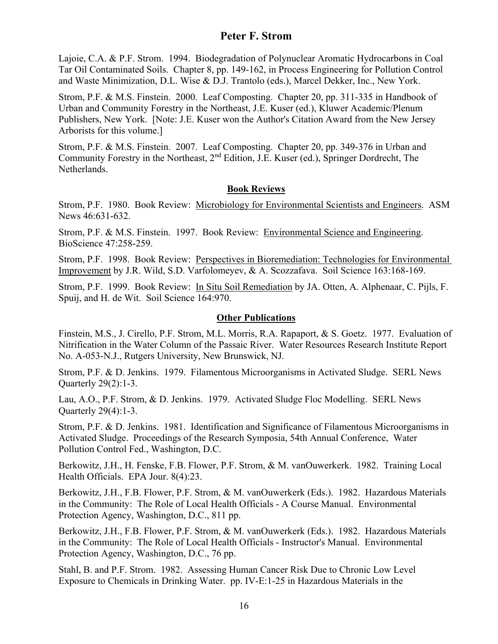Lajoie, C.A. & P.F. Strom. 1994. Biodegradation of Polynuclear Aromatic Hydrocarbons in Coal Tar Oil Contaminated Soils. Chapter 8, pp. 149-162, in Process Engineering for Pollution Control and Waste Minimization, D.L. Wise & D.J. Trantolo (eds.), Marcel Dekker, Inc., New York.

Strom, P.F. & M.S. Finstein. 2000. Leaf Composting. Chapter 20, pp. 311-335 in Handbook of Urban and Community Forestry in the Northeast, J.E. Kuser (ed.), Kluwer Academic/Plenum Publishers, New York. [Note: J.E. Kuser won the Author's Citation Award from the New Jersey Arborists for this volume.]

Strom, P.F. & M.S. Finstein. 2007. Leaf Composting. Chapter 20, pp. 349-376 in Urban and Community Forestry in the Northeast, 2nd Edition, J.E. Kuser (ed.), Springer Dordrecht, The Netherlands.

#### **Book Reviews**

Strom, P.F. 1980. Book Review: Microbiology for Environmental Scientists and Engineers. ASM News 46:631-632.

Strom, P.F. & M.S. Finstein. 1997. Book Review: Environmental Science and Engineering. BioScience 47:258-259.

Strom, P.F. 1998. Book Review: Perspectives in Bioremediation: Technologies for Environmental Improvement by J.R. Wild, S.D. Varfolomeyev, & A. Scozzafava. Soil Science 163:168-169.

Strom, P.F. 1999. Book Review: In Situ Soil Remediation by JA. Otten, A. Alphenaar, C. Pijls, F. Spuij, and H. de Wit. Soil Science 164:970.

#### **Other Publications**

Finstein, M.S., J. Cirello, P.F. Strom, M.L. Morris, R.A. Rapaport, & S. Goetz. 1977. Evaluation of Nitrification in the Water Column of the Passaic River. Water Resources Research Institute Report No. A-053-N.J., Rutgers University, New Brunswick, NJ.

Strom, P.F. & D. Jenkins. 1979. Filamentous Microorganisms in Activated Sludge. SERL News Quarterly 29(2):1-3.

Lau, A.O., P.F. Strom, & D. Jenkins. 1979. Activated Sludge Floc Modelling. SERL News Quarterly 29(4):1-3.

Strom, P.F. & D. Jenkins. 1981. Identification and Significance of Filamentous Microorganisms in Activated Sludge. Proceedings of the Research Symposia, 54th Annual Conference, Water Pollution Control Fed., Washington, D.C.

Berkowitz, J.H., H. Fenske, F.B. Flower, P.F. Strom, & M. vanOuwerkerk. 1982. Training Local Health Officials. EPA Jour. 8(4):23.

Berkowitz, J.H., F.B. Flower, P.F. Strom, & M. vanOuwerkerk (Eds.). 1982. Hazardous Materials in the Community: The Role of Local Health Officials - A Course Manual. Environmental Protection Agency, Washington, D.C., 811 pp.

Berkowitz, J.H., F.B. Flower, P.F. Strom, & M. vanOuwerkerk (Eds.). 1982. Hazardous Materials in the Community: The Role of Local Health Officials - Instructor's Manual. Environmental Protection Agency, Washington, D.C., 76 pp.

Stahl, B. and P.F. Strom. 1982. Assessing Human Cancer Risk Due to Chronic Low Level Exposure to Chemicals in Drinking Water. pp. IV-E:1-25 in Hazardous Materials in the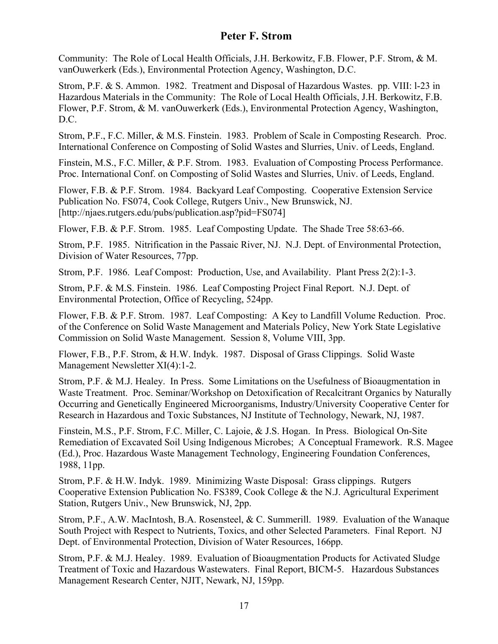Community: The Role of Local Health Officials, J.H. Berkowitz, F.B. Flower, P.F. Strom, & M. vanOuwerkerk (Eds.), Environmental Protection Agency, Washington, D.C.

Strom, P.F. & S. Ammon. 1982. Treatment and Disposal of Hazardous Wastes. pp. VIII: l-23 in Hazardous Materials in the Community: The Role of Local Health Officials, J.H. Berkowitz, F.B. Flower, P.F. Strom, & M. vanOuwerkerk (Eds.), Environmental Protection Agency, Washington, D.C.

Strom, P.F., F.C. Miller, & M.S. Finstein. 1983. Problem of Scale in Composting Research. Proc. International Conference on Composting of Solid Wastes and Slurries, Univ. of Leeds, England.

Finstein, M.S., F.C. Miller, & P.F. Strom. 1983. Evaluation of Composting Process Performance. Proc. International Conf. on Composting of Solid Wastes and Slurries, Univ. of Leeds, England.

Flower, F.B. & P.F. Strom. 1984. Backyard Leaf Composting. Cooperative Extension Service Publication No. FS074, Cook College, Rutgers Univ., New Brunswick, NJ. [http://njaes.rutgers.edu/pubs/publication.asp?pid=FS074]

Flower, F.B. & P.F. Strom. 1985. Leaf Composting Update. The Shade Tree 58:63-66.

Strom, P.F. 1985. Nitrification in the Passaic River, NJ. N.J. Dept. of Environmental Protection, Division of Water Resources, 77pp.

Strom, P.F. 1986. Leaf Compost: Production, Use, and Availability. Plant Press 2(2):1-3.

Strom, P.F. & M.S. Finstein. 1986. Leaf Composting Project Final Report. N.J. Dept. of Environmental Protection, Office of Recycling, 524pp.

Flower, F.B. & P.F. Strom. 1987. Leaf Composting: A Key to Landfill Volume Reduction. Proc. of the Conference on Solid Waste Management and Materials Policy, New York State Legislative Commission on Solid Waste Management. Session 8, Volume VIII, 3pp.

Flower, F.B., P.F. Strom, & H.W. Indyk. 1987. Disposal of Grass Clippings. Solid Waste Management Newsletter XI(4):1-2.

Strom, P.F. & M.J. Healey. In Press. Some Limitations on the Usefulness of Bioaugmentation in Waste Treatment. Proc. Seminar/Workshop on Detoxification of Recalcitrant Organics by Naturally Occurring and Genetically Engineered Microorganisms, Industry/University Cooperative Center for Research in Hazardous and Toxic Substances, NJ Institute of Technology, Newark, NJ, 1987.

Finstein, M.S., P.F. Strom, F.C. Miller, C. Lajoie, & J.S. Hogan. In Press. Biological On-Site Remediation of Excavated Soil Using Indigenous Microbes; A Conceptual Framework. R.S. Magee (Ed.), Proc. Hazardous Waste Management Technology, Engineering Foundation Conferences, 1988, 11pp.

Strom, P.F. & H.W. Indyk. 1989. Minimizing Waste Disposal: Grass clippings. Rutgers Cooperative Extension Publication No. FS389, Cook College & the N.J. Agricultural Experiment Station, Rutgers Univ., New Brunswick, NJ, 2pp.

Strom, P.F., A.W. MacIntosh, B.A. Rosensteel, & C. Summerill. 1989. Evaluation of the Wanaque South Project with Respect to Nutrients, Toxics, and other Selected Parameters. Final Report. NJ Dept. of Environmental Protection, Division of Water Resources, 166pp.

Strom, P.F. & M.J. Healey. 1989. Evaluation of Bioaugmentation Products for Activated Sludge Treatment of Toxic and Hazardous Wastewaters. Final Report, BICM-5. Hazardous Substances Management Research Center, NJIT, Newark, NJ, 159pp.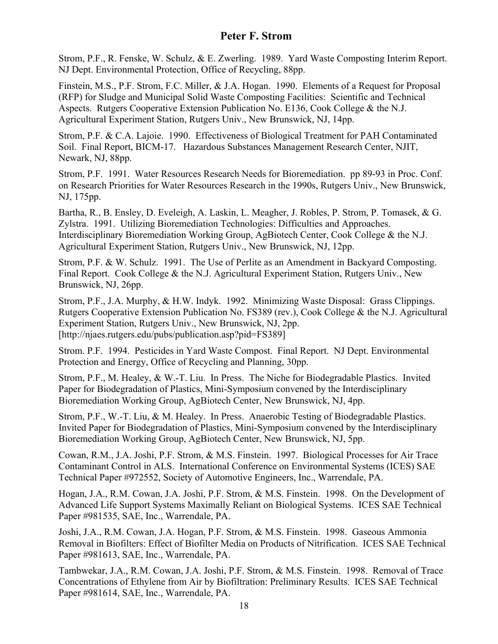Strom, P.F., R. Fenske, W. Schulz, & E. Zwerling. 1989. Yard Waste Composting Interim Report. NJ Dept. Environmental Protection, Office of Recycling, 88pp.

Finstein, M.S., P.F. Strom, F.C. Miller, & J.A. Hogan. 1990. Elements of a Request for Proposal (RFP) for Sludge and Municipal Solid Waste Composting Facilities: Scientific and Technical Aspects. Rutgers Cooperative Extension Publication No. E136, Cook College & the N.J. Agricultural Experiment Station, Rutgers Univ., New Brunswick, NJ, 14pp.

Strom, P.F. & C.A. Lajoie. 1990. Effectiveness of Biological Treatment for PAH Contaminated Soil. Final Report, BICM-17. Hazardous Substances Management Research Center, NJIT, Newark, NJ, 88pp.

Strom, P.F. 1991. Water Resources Research Needs for Bioremediation. pp 89-93 in Proc. Conf. on Research Priorities for Water Resources Research in the 1990s, Rutgers Univ., New Brunswick, NJ, 175pp.

Bartha, R., B. Ensley, D. Eveleigh, A. Laskin, L. Meagher, J. Robles, P. Strom, P. Tomasek, & G. Zylstra. 1991. Utilizing Bioremediation Technologies: Difficulties and Approaches. Interdisciplinary Bioremediation Working Group, AgBiotech Center, Cook College & the N.J. Agricultural Experiment Station, Rutgers Univ., New Brunswick, NJ, 12pp.

Strom, P.F. & W. Schulz. 1991. The Use of Perlite as an Amendment in Backyard Composting. Final Report. Cook College & the N.J. Agricultural Experiment Station, Rutgers Univ., New Brunswick, NJ, 26pp.

Strom, P.F., J.A. Murphy, & H.W. Indyk. 1992. Minimizing Waste Disposal: Grass Clippings. Rutgers Cooperative Extension Publication No. FS389 (rev.), Cook College & the N.J. Agricultural Experiment Station, Rutgers Univ., New Brunswick, NJ, 2pp. [http://njaes.rutgers.edu/pubs/publication.asp?pid=FS389]

Strom. P.F. 1994. Pesticides in Yard Waste Compost. Final Report. NJ Dept. Environmental Protection and Energy, Office of Recycling and Planning, 30pp.

Strom, P.F., M. Healey, & W.-T. Liu. In Press. The Niche for Biodegradable Plastics. Invited Paper for Biodegradation of Plastics, Mini-Symposium convened by the Interdisciplinary Bioremediation Working Group, AgBiotech Center, New Brunswick, NJ, 4pp.

Strom, P.F., W.-T. Liu, & M. Healey. In Press. Anaerobic Testing of Biodegradable Plastics. Invited Paper for Biodegradation of Plastics, Mini-Symposium convened by the Interdisciplinary Bioremediation Working Group, AgBiotech Center, New Brunswick, NJ, 5pp.

Cowan, R.M., J.A. Joshi, P.F. Strom, & M.S. Finstein. 1997. Biological Processes for Air Trace Contaminant Control in ALS. International Conference on Environmental Systems (ICES) SAE Technical Paper #972552, Society of Automotive Engineers, Inc., Warrendale, PA.

Hogan, J.A., R.M. Cowan, J.A. Joshi, P.F. Strom, & M.S. Finstein. 1998. On the Development of Advanced Life Support Systems Maximally Reliant on Biological Systems. ICES SAE Technical Paper #981535, SAE, Inc., Warrendale, PA.

Joshi, J.A., R.M. Cowan, J.A. Hogan, P.F. Strom, & M.S. Finstein. 1998. Gaseous Ammonia Removal in Biofilters: Effect of Biofilter Media on Products of Nitrification. ICES SAE Technical Paper #981613, SAE, Inc., Warrendale, PA.

Tambwekar, J.A., R.M. Cowan, J.A. Joshi, P.F. Strom, & M.S. Finstein. 1998. Removal of Trace Concentrations of Ethylene from Air by Biofiltration: Preliminary Results. ICES SAE Technical Paper #981614, SAE, Inc., Warrendale, PA.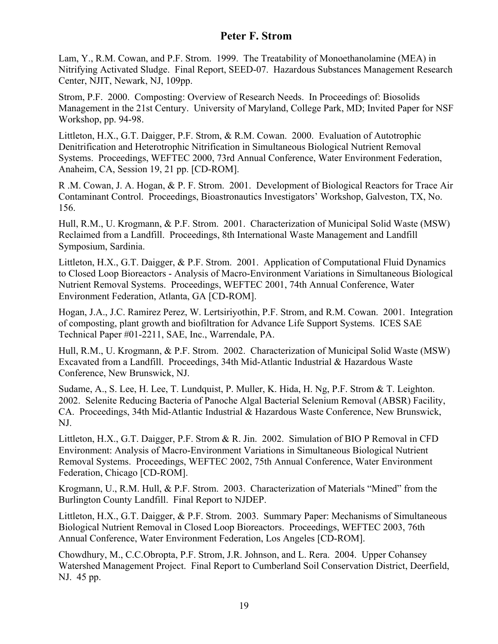Lam, Y., R.M. Cowan, and P.F. Strom. 1999. The Treatability of Monoethanolamine (MEA) in Nitrifying Activated Sludge. Final Report, SEED-07. Hazardous Substances Management Research Center, NJIT, Newark, NJ, 109pp.

Strom, P.F. 2000. Composting: Overview of Research Needs. In Proceedings of: Biosolids Management in the 21st Century. University of Maryland, College Park, MD; Invited Paper for NSF Workshop, pp. 94-98.

Littleton, H.X., G.T. Daigger, P.F. Strom, & R.M. Cowan. 2000. Evaluation of Autotrophic Denitrification and Heterotrophic Nitrification in Simultaneous Biological Nutrient Removal Systems. Proceedings, WEFTEC 2000, 73rd Annual Conference, Water Environment Federation, Anaheim, CA, Session 19, 21 pp. [CD-ROM].

R .M. Cowan, J. A. Hogan, & P. F. Strom. 2001. Development of Biological Reactors for Trace Air Contaminant Control. Proceedings, Bioastronautics Investigators' Workshop, Galveston, TX, No. 156.

Hull, R.M., U. Krogmann, & P.F. Strom. 2001. Characterization of Municipal Solid Waste (MSW) Reclaimed from a Landfill. Proceedings, 8th International Waste Management and Landfill Symposium, Sardinia.

Littleton, H.X., G.T. Daigger, & P.F. Strom. 2001. Application of Computational Fluid Dynamics to Closed Loop Bioreactors - Analysis of Macro-Environment Variations in Simultaneous Biological Nutrient Removal Systems. Proceedings, WEFTEC 2001, 74th Annual Conference, Water Environment Federation, Atlanta, GA [CD-ROM].

Hogan, J.A., J.C. Ramirez Perez, W. Lertsiriyothin, P.F. Strom, and R.M. Cowan. 2001. Integration of composting, plant growth and biofiltration for Advance Life Support Systems. ICES SAE Technical Paper #01-2211, SAE, Inc., Warrendale, PA.

Hull, R.M., U. Krogmann, & P.F. Strom. 2002. Characterization of Municipal Solid Waste (MSW) Excavated from a Landfill. Proceedings, 34th Mid-Atlantic Industrial & Hazardous Waste Conference, New Brunswick, NJ.

Sudame, A., S. Lee, H. Lee, T. Lundquist, P. Muller, K. Hida, H. Ng, P.F. Strom & T. Leighton. 2002. Selenite Reducing Bacteria of Panoche Algal Bacterial Selenium Removal (ABSR) Facility, CA. Proceedings, 34th Mid-Atlantic Industrial & Hazardous Waste Conference, New Brunswick, NJ.

Littleton, H.X., G.T. Daigger, P.F. Strom & R. Jin. 2002. Simulation of BIO P Removal in CFD Environment: Analysis of Macro-Environment Variations in Simultaneous Biological Nutrient Removal Systems. Proceedings, WEFTEC 2002, 75th Annual Conference, Water Environment Federation, Chicago [CD-ROM].

Krogmann, U., R.M. Hull, & P.F. Strom. 2003. Characterization of Materials "Mined" from the Burlington County Landfill. Final Report to NJDEP.

Littleton, H.X., G.T. Daigger, & P.F. Strom. 2003. Summary Paper: Mechanisms of Simultaneous Biological Nutrient Removal in Closed Loop Bioreactors. Proceedings, WEFTEC 2003, 76th Annual Conference, Water Environment Federation, Los Angeles [CD-ROM].

Chowdhury, M., C.C.Obropta, P.F. Strom, J.R. Johnson, and L. Rera. 2004. Upper Cohansey Watershed Management Project. Final Report to Cumberland Soil Conservation District, Deerfield, NJ. 45 pp.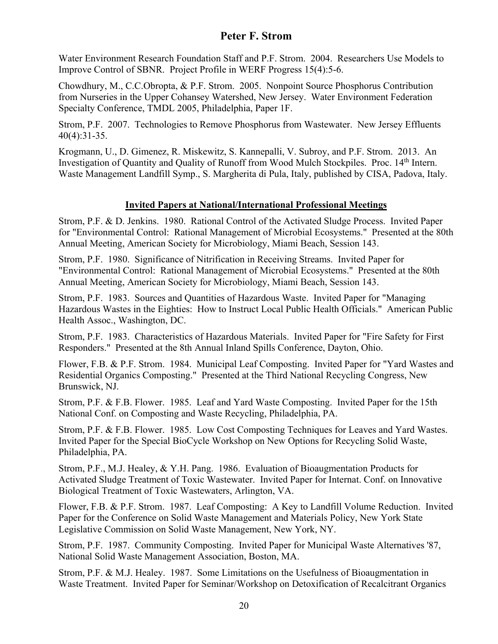Water Environment Research Foundation Staff and P.F. Strom. 2004. Researchers Use Models to Improve Control of SBNR. Project Profile in WERF Progress 15(4):5-6.

Chowdhury, M., C.C.Obropta, & P.F. Strom. 2005. Nonpoint Source Phosphorus Contribution from Nurseries in the Upper Cohansey Watershed, New Jersey. Water Environment Federation Specialty Conference, TMDL 2005, Philadelphia, Paper 1F.

Strom, P.F. 2007. Technologies to Remove Phosphorus from Wastewater. New Jersey Effluents 40(4):31-35.

Krogmann, U., D. Gimenez, R. Miskewitz, S. Kannepalli, V. Subroy, and P.F. Strom. 2013. An Investigation of Quantity and Quality of Runoff from Wood Mulch Stockpiles. Proc. 14th Intern. Waste Management Landfill Symp., S. Margherita di Pula, Italy, published by CISA, Padova, Italy.

### **Invited Papers at National/International Professional Meetings**

Strom, P.F. & D. Jenkins. 1980. Rational Control of the Activated Sludge Process. Invited Paper for "Environmental Control: Rational Management of Microbial Ecosystems." Presented at the 80th Annual Meeting, American Society for Microbiology, Miami Beach, Session 143.

Strom, P.F. 1980. Significance of Nitrification in Receiving Streams. Invited Paper for "Environmental Control: Rational Management of Microbial Ecosystems." Presented at the 80th Annual Meeting, American Society for Microbiology, Miami Beach, Session 143.

Strom, P.F. 1983. Sources and Quantities of Hazardous Waste. Invited Paper for "Managing Hazardous Wastes in the Eighties: How to Instruct Local Public Health Officials." American Public Health Assoc., Washington, DC.

Strom, P.F. 1983. Characteristics of Hazardous Materials. Invited Paper for "Fire Safety for First Responders." Presented at the 8th Annual Inland Spills Conference, Dayton, Ohio.

Flower, F.B. & P.F. Strom. 1984. Municipal Leaf Composting. Invited Paper for "Yard Wastes and Residential Organics Composting." Presented at the Third National Recycling Congress, New Brunswick, NJ.

Strom, P.F. & F.B. Flower. 1985. Leaf and Yard Waste Composting. Invited Paper for the 15th National Conf. on Composting and Waste Recycling, Philadelphia, PA.

Strom, P.F. & F.B. Flower. 1985. Low Cost Composting Techniques for Leaves and Yard Wastes. Invited Paper for the Special BioCycle Workshop on New Options for Recycling Solid Waste, Philadelphia, PA.

Strom, P.F., M.J. Healey, & Y.H. Pang. 1986. Evaluation of Bioaugmentation Products for Activated Sludge Treatment of Toxic Wastewater. Invited Paper for Internat. Conf. on Innovative Biological Treatment of Toxic Wastewaters, Arlington, VA.

Flower, F.B. & P.F. Strom. 1987. Leaf Composting: A Key to Landfill Volume Reduction. Invited Paper for the Conference on Solid Waste Management and Materials Policy, New York State Legislative Commission on Solid Waste Management, New York, NY.

Strom, P.F. 1987. Community Composting. Invited Paper for Municipal Waste Alternatives '87, National Solid Waste Management Association, Boston, MA.

Strom, P.F. & M.J. Healey. 1987. Some Limitations on the Usefulness of Bioaugmentation in Waste Treatment. Invited Paper for Seminar/Workshop on Detoxification of Recalcitrant Organics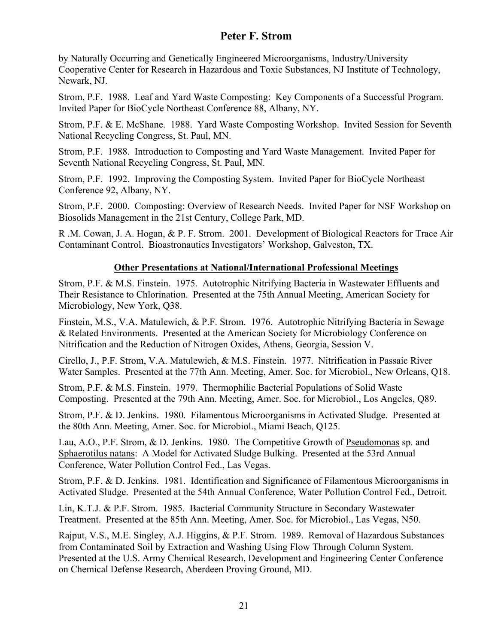by Naturally Occurring and Genetically Engineered Microorganisms, Industry/University Cooperative Center for Research in Hazardous and Toxic Substances, NJ Institute of Technology, Newark, NJ.

Strom, P.F. 1988. Leaf and Yard Waste Composting: Key Components of a Successful Program. Invited Paper for BioCycle Northeast Conference 88, Albany, NY.

Strom, P.F. & E. McShane. 1988. Yard Waste Composting Workshop. Invited Session for Seventh National Recycling Congress, St. Paul, MN.

Strom, P.F. 1988. Introduction to Composting and Yard Waste Management. Invited Paper for Seventh National Recycling Congress, St. Paul, MN.

Strom, P.F. 1992. Improving the Composting System. Invited Paper for BioCycle Northeast Conference 92, Albany, NY.

Strom, P.F. 2000. Composting: Overview of Research Needs. Invited Paper for NSF Workshop on Biosolids Management in the 21st Century, College Park, MD.

R .M. Cowan, J. A. Hogan, & P. F. Strom. 2001. Development of Biological Reactors for Trace Air Contaminant Control. Bioastronautics Investigators' Workshop, Galveston, TX.

### **Other Presentations at National/International Professional Meetings**

Strom, P.F. & M.S. Finstein. 1975. Autotrophic Nitrifying Bacteria in Wastewater Effluents and Their Resistance to Chlorination. Presented at the 75th Annual Meeting, American Society for Microbiology, New York, Q38.

Finstein, M.S., V.A. Matulewich, & P.F. Strom. 1976. Autotrophic Nitrifying Bacteria in Sewage & Related Environments. Presented at the American Society for Microbiology Conference on Nitrification and the Reduction of Nitrogen Oxides, Athens, Georgia, Session V.

Cirello, J., P.F. Strom, V.A. Matulewich, & M.S. Finstein. 1977. Nitrification in Passaic River Water Samples. Presented at the 77th Ann. Meeting, Amer. Soc. for Microbiol., New Orleans, Q18.

Strom, P.F. & M.S. Finstein. 1979. Thermophilic Bacterial Populations of Solid Waste Composting. Presented at the 79th Ann. Meeting, Amer. Soc. for Microbiol., Los Angeles, Q89.

Strom, P.F. & D. Jenkins. 1980. Filamentous Microorganisms in Activated Sludge. Presented at the 80th Ann. Meeting, Amer. Soc. for Microbiol., Miami Beach, Q125.

Lau, A.O., P.F. Strom, & D. Jenkins. 1980. The Competitive Growth of Pseudomonas sp. and Sphaerotilus natans: A Model for Activated Sludge Bulking. Presented at the 53rd Annual Conference, Water Pollution Control Fed., Las Vegas.

Strom, P.F. & D. Jenkins. 1981. Identification and Significance of Filamentous Microorganisms in Activated Sludge. Presented at the 54th Annual Conference, Water Pollution Control Fed., Detroit.

Lin, K.T.J. & P.F. Strom. 1985. Bacterial Community Structure in Secondary Wastewater Treatment. Presented at the 85th Ann. Meeting, Amer. Soc. for Microbiol., Las Vegas, N50.

Rajput, V.S., M.E. Singley, A.J. Higgins, & P.F. Strom. 1989. Removal of Hazardous Substances from Contaminated Soil by Extraction and Washing Using Flow Through Column System. Presented at the U.S. Army Chemical Research, Development and Engineering Center Conference on Chemical Defense Research, Aberdeen Proving Ground, MD.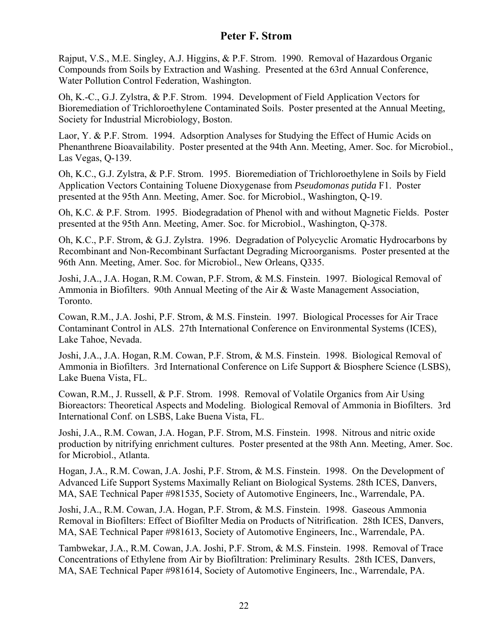Rajput, V.S., M.E. Singley, A.J. Higgins, & P.F. Strom. 1990. Removal of Hazardous Organic Compounds from Soils by Extraction and Washing. Presented at the 63rd Annual Conference, Water Pollution Control Federation, Washington.

Oh, K.-C., G.J. Zylstra, & P.F. Strom. 1994. Development of Field Application Vectors for Bioremediation of Trichloroethylene Contaminated Soils. Poster presented at the Annual Meeting, Society for Industrial Microbiology, Boston.

Laor, Y. & P.F. Strom. 1994. Adsorption Analyses for Studying the Effect of Humic Acids on Phenanthrene Bioavailability. Poster presented at the 94th Ann. Meeting, Amer. Soc. for Microbiol., Las Vegas, Q-139.

Oh, K.C., G.J. Zylstra, & P.F. Strom. 1995. Bioremediation of Trichloroethylene in Soils by Field Application Vectors Containing Toluene Dioxygenase from *Pseudomonas putida* F1. Poster presented at the 95th Ann. Meeting, Amer. Soc. for Microbiol., Washington, Q-19.

Oh, K.C. & P.F. Strom. 1995. Biodegradation of Phenol with and without Magnetic Fields. Poster presented at the 95th Ann. Meeting, Amer. Soc. for Microbiol., Washington, Q-378.

Oh, K.C., P.F. Strom, & G.J. Zylstra. 1996. Degradation of Polycyclic Aromatic Hydrocarbons by Recombinant and Non-Recombinant Surfactant Degrading Microorganisms. Poster presented at the 96th Ann. Meeting, Amer. Soc. for Microbiol., New Orleans, Q335.

Joshi, J.A., J.A. Hogan, R.M. Cowan, P.F. Strom, & M.S. Finstein. 1997. Biological Removal of Ammonia in Biofilters. 90th Annual Meeting of the Air & Waste Management Association, Toronto.

Cowan, R.M., J.A. Joshi, P.F. Strom, & M.S. Finstein. 1997. Biological Processes for Air Trace Contaminant Control in ALS. 27th International Conference on Environmental Systems (ICES), Lake Tahoe, Nevada.

Joshi, J.A., J.A. Hogan, R.M. Cowan, P.F. Strom, & M.S. Finstein. 1998. Biological Removal of Ammonia in Biofilters. 3rd International Conference on Life Support & Biosphere Science (LSBS), Lake Buena Vista, FL.

Cowan, R.M., J. Russell, & P.F. Strom. 1998. Removal of Volatile Organics from Air Using Bioreactors: Theoretical Aspects and Modeling. Biological Removal of Ammonia in Biofilters. 3rd International Conf. on LSBS, Lake Buena Vista, FL.

Joshi, J.A., R.M. Cowan, J.A. Hogan, P.F. Strom, M.S. Finstein. 1998. Nitrous and nitric oxide production by nitrifying enrichment cultures. Poster presented at the 98th Ann. Meeting, Amer. Soc. for Microbiol., Atlanta.

Hogan, J.A., R.M. Cowan, J.A. Joshi, P.F. Strom, & M.S. Finstein. 1998. On the Development of Advanced Life Support Systems Maximally Reliant on Biological Systems. 28th ICES, Danvers, MA, SAE Technical Paper #981535, Society of Automotive Engineers, Inc., Warrendale, PA.

Joshi, J.A., R.M. Cowan, J.A. Hogan, P.F. Strom, & M.S. Finstein. 1998. Gaseous Ammonia Removal in Biofilters: Effect of Biofilter Media on Products of Nitrification. 28th ICES, Danvers, MA, SAE Technical Paper #981613, Society of Automotive Engineers, Inc., Warrendale, PA.

Tambwekar, J.A., R.M. Cowan, J.A. Joshi, P.F. Strom, & M.S. Finstein. 1998. Removal of Trace Concentrations of Ethylene from Air by Biofiltration: Preliminary Results. 28th ICES, Danvers, MA, SAE Technical Paper #981614, Society of Automotive Engineers, Inc., Warrendale, PA.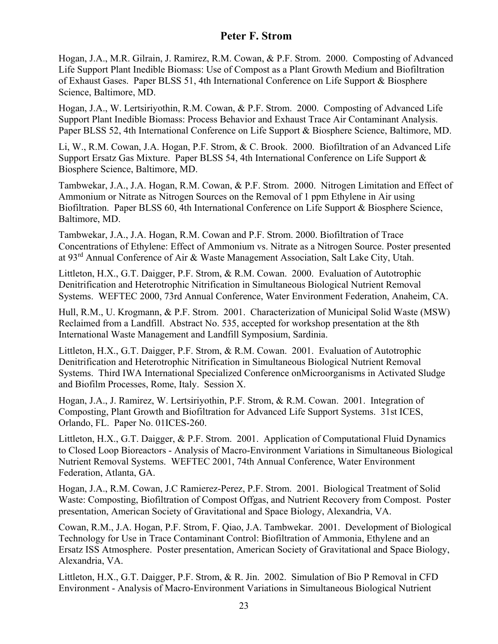Hogan, J.A., M.R. Gilrain, J. Ramirez, R.M. Cowan, & P.F. Strom. 2000. Composting of Advanced Life Support Plant Inedible Biomass: Use of Compost as a Plant Growth Medium and Biofiltration of Exhaust Gases. Paper BLSS 51, 4th International Conference on Life Support & Biosphere Science, Baltimore, MD.

Hogan, J.A., W. Lertsiriyothin, R.M. Cowan, & P.F. Strom. 2000. Composting of Advanced Life Support Plant Inedible Biomass: Process Behavior and Exhaust Trace Air Contaminant Analysis. Paper BLSS 52, 4th International Conference on Life Support & Biosphere Science, Baltimore, MD.

Li, W., R.M. Cowan, J.A. Hogan, P.F. Strom, & C. Brook. 2000. Biofiltration of an Advanced Life Support Ersatz Gas Mixture. Paper BLSS 54, 4th International Conference on Life Support & Biosphere Science, Baltimore, MD.

Tambwekar, J.A., J.A. Hogan, R.M. Cowan, & P.F. Strom. 2000. Nitrogen Limitation and Effect of Ammonium or Nitrate as Nitrogen Sources on the Removal of 1 ppm Ethylene in Air using Biofiltration. Paper BLSS 60, 4th International Conference on Life Support & Biosphere Science, Baltimore, MD.

Tambwekar, J.A., J.A. Hogan, R.M. Cowan and P.F. Strom. 2000. Biofiltration of Trace Concentrations of Ethylene: Effect of Ammonium vs. Nitrate as a Nitrogen Source. Poster presented at 93rd Annual Conference of Air & Waste Management Association, Salt Lake City, Utah.

Littleton, H.X., G.T. Daigger, P.F. Strom, & R.M. Cowan. 2000. Evaluation of Autotrophic Denitrification and Heterotrophic Nitrification in Simultaneous Biological Nutrient Removal Systems. WEFTEC 2000, 73rd Annual Conference, Water Environment Federation, Anaheim, CA.

Hull, R.M., U. Krogmann, & P.F. Strom. 2001. Characterization of Municipal Solid Waste (MSW) Reclaimed from a Landfill. Abstract No. 535, accepted for workshop presentation at the 8th International Waste Management and Landfill Symposium, Sardinia.

Littleton, H.X., G.T. Daigger, P.F. Strom, & R.M. Cowan. 2001. Evaluation of Autotrophic Denitrification and Heterotrophic Nitrification in Simultaneous Biological Nutrient Removal Systems. Third IWA International Specialized Conference onMicroorganisms in Activated Sludge and Biofilm Processes, Rome, Italy. Session X.

Hogan, J.A., J. Ramirez, W. Lertsiriyothin, P.F. Strom, & R.M. Cowan. 2001. Integration of Composting, Plant Growth and Biofiltration for Advanced Life Support Systems. 31st ICES, Orlando, FL. Paper No. 01ICES-260.

Littleton, H.X., G.T. Daigger, & P.F. Strom. 2001. Application of Computational Fluid Dynamics to Closed Loop Bioreactors - Analysis of Macro-Environment Variations in Simultaneous Biological Nutrient Removal Systems. WEFTEC 2001, 74th Annual Conference, Water Environment Federation, Atlanta, GA.

Hogan, J.A., R.M. Cowan, J.C Ramierez-Perez, P.F. Strom. 2001. Biological Treatment of Solid Waste: Composting, Biofiltration of Compost Offgas, and Nutrient Recovery from Compost. Poster presentation, American Society of Gravitational and Space Biology, Alexandria, VA.

Cowan, R.M., J.A. Hogan, P.F. Strom, F. Qiao, J.A. Tambwekar. 2001. Development of Biological Technology for Use in Trace Contaminant Control: Biofiltration of Ammonia, Ethylene and an Ersatz ISS Atmosphere. Poster presentation, American Society of Gravitational and Space Biology, Alexandria, VA.

Littleton, H.X., G.T. Daigger, P.F. Strom, & R. Jin. 2002. Simulation of Bio P Removal in CFD Environment - Analysis of Macro-Environment Variations in Simultaneous Biological Nutrient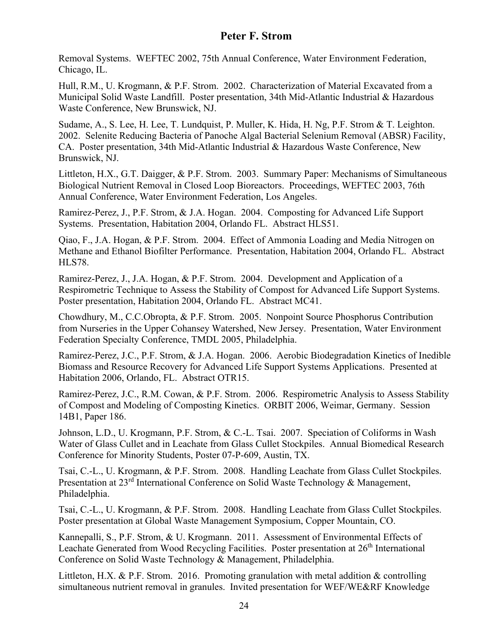Removal Systems. WEFTEC 2002, 75th Annual Conference, Water Environment Federation, Chicago, IL.

Hull, R.M., U. Krogmann, & P.F. Strom. 2002. Characterization of Material Excavated from a Municipal Solid Waste Landfill. Poster presentation, 34th Mid-Atlantic Industrial & Hazardous Waste Conference, New Brunswick, NJ.

Sudame, A., S. Lee, H. Lee, T. Lundquist, P. Muller, K. Hida, H. Ng, P.F. Strom & T. Leighton. 2002. Selenite Reducing Bacteria of Panoche Algal Bacterial Selenium Removal (ABSR) Facility, CA. Poster presentation, 34th Mid-Atlantic Industrial & Hazardous Waste Conference, New Brunswick, NJ.

Littleton, H.X., G.T. Daigger, & P.F. Strom. 2003. Summary Paper: Mechanisms of Simultaneous Biological Nutrient Removal in Closed Loop Bioreactors. Proceedings, WEFTEC 2003, 76th Annual Conference, Water Environment Federation, Los Angeles.

Ramirez-Perez, J., P.F. Strom, & J.A. Hogan. 2004. Composting for Advanced Life Support Systems. Presentation, Habitation 2004, Orlando FL. Abstract HLS51.

Qiao, F., J.A. Hogan, & P.F. Strom. 2004. Effect of Ammonia Loading and Media Nitrogen on Methane and Ethanol Biofilter Performance. Presentation, Habitation 2004, Orlando FL. Abstract HLS78.

Ramirez-Perez, J., J.A. Hogan, & P.F. Strom. 2004. Development and Application of a Respirometric Technique to Assess the Stability of Compost for Advanced Life Support Systems. Poster presentation, Habitation 2004, Orlando FL. Abstract MC41.

Chowdhury, M., C.C.Obropta, & P.F. Strom. 2005. Nonpoint Source Phosphorus Contribution from Nurseries in the Upper Cohansey Watershed, New Jersey. Presentation, Water Environment Federation Specialty Conference, TMDL 2005, Philadelphia.

Ramirez-Perez, J.C., P.F. Strom, & J.A. Hogan. 2006. Aerobic Biodegradation Kinetics of Inedible Biomass and Resource Recovery for Advanced Life Support Systems Applications. Presented at Habitation 2006, Orlando, FL. Abstract OTR15.

Ramirez-Perez, J.C., R.M. Cowan, & P.F. Strom. 2006. Respirometric Analysis to Assess Stability of Compost and Modeling of Composting Kinetics. ORBIT 2006, Weimar, Germany. Session 14B1, Paper 186.

Johnson, L.D., U. Krogmann, P.F. Strom, & C.-L. Tsai. 2007. Speciation of Coliforms in Wash Water of Glass Cullet and in Leachate from Glass Cullet Stockpiles. Annual Biomedical Research Conference for Minority Students, Poster 07-P-609, Austin, TX.

Tsai, C.-L., U. Krogmann, & P.F. Strom. 2008. Handling Leachate from Glass Cullet Stockpiles. Presentation at 23<sup>rd</sup> International Conference on Solid Waste Technology & Management, Philadelphia.

Tsai, C.-L., U. Krogmann, & P.F. Strom. 2008. Handling Leachate from Glass Cullet Stockpiles. Poster presentation at Global Waste Management Symposium, Copper Mountain, CO.

Kannepalli, S., P.F. Strom, & U. Krogmann. 2011. Assessment of Environmental Effects of Leachate Generated from Wood Recycling Facilities. Poster presentation at 26<sup>th</sup> International Conference on Solid Waste Technology & Management, Philadelphia.

Littleton, H.X. & P.F. Strom. 2016. Promoting granulation with metal addition  $\&$  controlling simultaneous nutrient removal in granules. Invited presentation for WEF/WE&RF Knowledge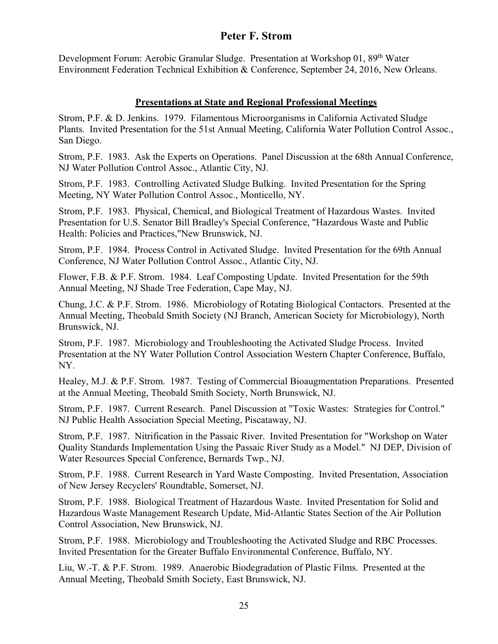Development Forum: Aerobic Granular Sludge. Presentation at Workshop 01, 89<sup>th</sup> Water Environment Federation Technical Exhibition & Conference, September 24, 2016, New Orleans.

### **Presentations at State and Regional Professional Meetings**

Strom, P.F. & D. Jenkins. 1979. Filamentous Microorganisms in California Activated Sludge Plants. Invited Presentation for the 51st Annual Meeting, California Water Pollution Control Assoc., San Diego.

Strom, P.F. 1983. Ask the Experts on Operations. Panel Discussion at the 68th Annual Conference, NJ Water Pollution Control Assoc., Atlantic City, NJ.

Strom, P.F. 1983. Controlling Activated Sludge Bulking. Invited Presentation for the Spring Meeting, NY Water Pollution Control Assoc., Monticello, NY.

Strom, P.F. 1983. Physical, Chemical, and Biological Treatment of Hazardous Wastes. Invited Presentation for U.S. Senator Bill Bradley's Special Conference, "Hazardous Waste and Public Health: Policies and Practices,"New Brunswick, NJ.

Strom, P.F. 1984. Process Control in Activated Sludge. Invited Presentation for the 69th Annual Conference, NJ Water Pollution Control Assoc., Atlantic City, NJ.

Flower, F.B. & P.F. Strom. 1984. Leaf Composting Update. Invited Presentation for the 59th Annual Meeting, NJ Shade Tree Federation, Cape May, NJ.

Chung, J.C. & P.F. Strom. 1986. Microbiology of Rotating Biological Contactors. Presented at the Annual Meeting, Theobald Smith Society (NJ Branch, American Society for Microbiology), North Brunswick, NJ.

Strom, P.F. 1987. Microbiology and Troubleshooting the Activated Sludge Process. Invited Presentation at the NY Water Pollution Control Association Western Chapter Conference, Buffalo, NY.

Healey, M.J. & P.F. Strom. 1987. Testing of Commercial Bioaugmentation Preparations. Presented at the Annual Meeting, Theobald Smith Society, North Brunswick, NJ.

Strom, P.F. 1987. Current Research. Panel Discussion at "Toxic Wastes: Strategies for Control." NJ Public Health Association Special Meeting, Piscataway, NJ.

Strom, P.F. 1987. Nitrification in the Passaic River. Invited Presentation for "Workshop on Water Quality Standards Implementation Using the Passaic River Study as a Model." NJ DEP, Division of Water Resources Special Conference, Bernards Twp., NJ.

Strom, P.F. 1988. Current Research in Yard Waste Composting. Invited Presentation, Association of New Jersey Recyclers' Roundtable, Somerset, NJ.

Strom, P.F. 1988. Biological Treatment of Hazardous Waste. Invited Presentation for Solid and Hazardous Waste Management Research Update, Mid-Atlantic States Section of the Air Pollution Control Association, New Brunswick, NJ.

Strom, P.F. 1988. Microbiology and Troubleshooting the Activated Sludge and RBC Processes. Invited Presentation for the Greater Buffalo Environmental Conference, Buffalo, NY.

Liu, W.-T. & P.F. Strom. 1989. Anaerobic Biodegradation of Plastic Films. Presented at the Annual Meeting, Theobald Smith Society, East Brunswick, NJ.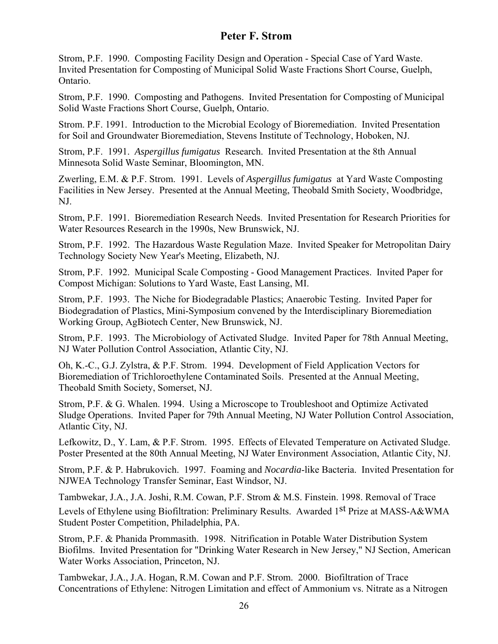Strom, P.F. 1990. Composting Facility Design and Operation - Special Case of Yard Waste. Invited Presentation for Composting of Municipal Solid Waste Fractions Short Course, Guelph, Ontario.

Strom, P.F. 1990. Composting and Pathogens. Invited Presentation for Composting of Municipal Solid Waste Fractions Short Course, Guelph, Ontario.

Strom. P.F. 1991. Introduction to the Microbial Ecology of Bioremediation. Invited Presentation for Soil and Groundwater Bioremediation, Stevens Institute of Technology, Hoboken, NJ.

Strom, P.F. 1991. *Aspergillus fumigatus* Research. Invited Presentation at the 8th Annual Minnesota Solid Waste Seminar, Bloomington, MN.

Zwerling, E.M. & P.F. Strom. 1991. Levels of *Aspergillus fumigatus* at Yard Waste Composting Facilities in New Jersey. Presented at the Annual Meeting, Theobald Smith Society, Woodbridge, NJ.

Strom, P.F. 1991. Bioremediation Research Needs. Invited Presentation for Research Priorities for Water Resources Research in the 1990s, New Brunswick, NJ.

Strom, P.F. 1992. The Hazardous Waste Regulation Maze. Invited Speaker for Metropolitan Dairy Technology Society New Year's Meeting, Elizabeth, NJ.

Strom, P.F. 1992. Municipal Scale Composting - Good Management Practices. Invited Paper for Compost Michigan: Solutions to Yard Waste, East Lansing, MI.

Strom, P.F. 1993. The Niche for Biodegradable Plastics; Anaerobic Testing. Invited Paper for Biodegradation of Plastics, Mini-Symposium convened by the Interdisciplinary Bioremediation Working Group, AgBiotech Center, New Brunswick, NJ.

Strom, P.F. 1993. The Microbiology of Activated Sludge. Invited Paper for 78th Annual Meeting, NJ Water Pollution Control Association, Atlantic City, NJ.

Oh, K.-C., G.J. Zylstra, & P.F. Strom. 1994. Development of Field Application Vectors for Bioremediation of Trichloroethylene Contaminated Soils. Presented at the Annual Meeting, Theobald Smith Society, Somerset, NJ.

Strom, P.F. & G. Whalen. 1994. Using a Microscope to Troubleshoot and Optimize Activated Sludge Operations. Invited Paper for 79th Annual Meeting, NJ Water Pollution Control Association, Atlantic City, NJ.

Lefkowitz, D., Y. Lam, & P.F. Strom. 1995. Effects of Elevated Temperature on Activated Sludge. Poster Presented at the 80th Annual Meeting, NJ Water Environment Association, Atlantic City, NJ.

Strom, P.F. & P. Habrukovich. 1997. Foaming and *Nocardia*-like Bacteria. Invited Presentation for NJWEA Technology Transfer Seminar, East Windsor, NJ.

Tambwekar, J.A., J.A. Joshi, R.M. Cowan, P.F. Strom & M.S. Finstein. 1998. Removal of Trace

Levels of Ethylene using Biofiltration: Preliminary Results. Awarded 1<sup>st</sup> Prize at MASS-A&WMA Student Poster Competition, Philadelphia, PA.

Strom, P.F. & Phanida Prommasith. 1998. Nitrification in Potable Water Distribution System Biofilms. Invited Presentation for "Drinking Water Research in New Jersey," NJ Section, American Water Works Association, Princeton, NJ.

Tambwekar, J.A., J.A. Hogan, R.M. Cowan and P.F. Strom. 2000. Biofiltration of Trace Concentrations of Ethylene: Nitrogen Limitation and effect of Ammonium vs. Nitrate as a Nitrogen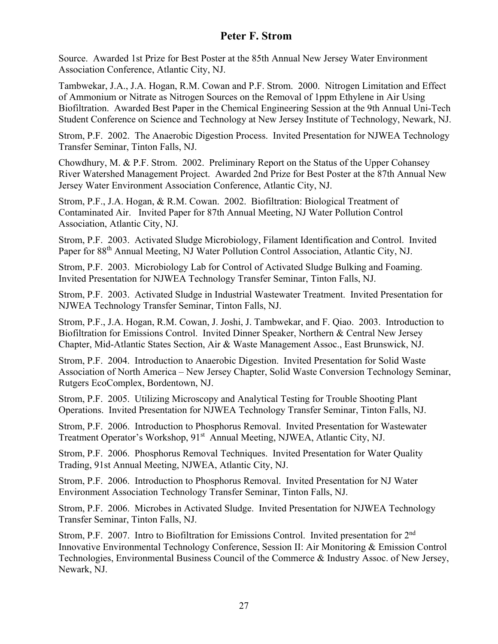Source. Awarded 1st Prize for Best Poster at the 85th Annual New Jersey Water Environment Association Conference, Atlantic City, NJ.

Tambwekar, J.A., J.A. Hogan, R.M. Cowan and P.F. Strom. 2000. Nitrogen Limitation and Effect of Ammonium or Nitrate as Nitrogen Sources on the Removal of 1ppm Ethylene in Air Using Biofiltration. Awarded Best Paper in the Chemical Engineering Session at the 9th Annual Uni-Tech Student Conference on Science and Technology at New Jersey Institute of Technology, Newark, NJ.

Strom, P.F. 2002. The Anaerobic Digestion Process. Invited Presentation for NJWEA Technology Transfer Seminar, Tinton Falls, NJ.

Chowdhury, M. & P.F. Strom. 2002. Preliminary Report on the Status of the Upper Cohansey River Watershed Management Project. Awarded 2nd Prize for Best Poster at the 87th Annual New Jersey Water Environment Association Conference, Atlantic City, NJ.

Strom, P.F., J.A. Hogan, & R.M. Cowan. 2002. Biofiltration: Biological Treatment of Contaminated Air. Invited Paper for 87th Annual Meeting, NJ Water Pollution Control Association, Atlantic City, NJ.

Strom, P.F. 2003. Activated Sludge Microbiology, Filament Identification and Control. Invited Paper for 88th Annual Meeting, NJ Water Pollution Control Association, Atlantic City, NJ.

Strom, P.F. 2003. Microbiology Lab for Control of Activated Sludge Bulking and Foaming. Invited Presentation for NJWEA Technology Transfer Seminar, Tinton Falls, NJ.

Strom, P.F. 2003. Activated Sludge in Industrial Wastewater Treatment. Invited Presentation for NJWEA Technology Transfer Seminar, Tinton Falls, NJ.

Strom, P.F., J.A. Hogan, R.M. Cowan, J. Joshi, J. Tambwekar, and F. Qiao. 2003. Introduction to Biofiltration for Emissions Control. Invited Dinner Speaker, Northern & Central New Jersey Chapter, Mid-Atlantic States Section, Air & Waste Management Assoc., East Brunswick, NJ.

Strom, P.F. 2004. Introduction to Anaerobic Digestion. Invited Presentation for Solid Waste Association of North America – New Jersey Chapter, Solid Waste Conversion Technology Seminar, Rutgers EcoComplex, Bordentown, NJ.

Strom, P.F. 2005. Utilizing Microscopy and Analytical Testing for Trouble Shooting Plant Operations. Invited Presentation for NJWEA Technology Transfer Seminar, Tinton Falls, NJ.

Strom, P.F. 2006. Introduction to Phosphorus Removal. Invited Presentation for Wastewater Treatment Operator's Workshop, 91<sup>st</sup> Annual Meeting, NJWEA, Atlantic City, NJ.

Strom, P.F. 2006. Phosphorus Removal Techniques. Invited Presentation for Water Quality Trading, 91st Annual Meeting, NJWEA, Atlantic City, NJ.

Strom, P.F. 2006. Introduction to Phosphorus Removal. Invited Presentation for NJ Water Environment Association Technology Transfer Seminar, Tinton Falls, NJ.

Strom, P.F. 2006. Microbes in Activated Sludge. Invited Presentation for NJWEA Technology Transfer Seminar, Tinton Falls, NJ.

Strom, P.F. 2007. Intro to Biofiltration for Emissions Control. Invited presentation for 2nd Innovative Environmental Technology Conference, Session II: Air Monitoring & Emission Control Technologies, Environmental Business Council of the Commerce & Industry Assoc. of New Jersey, Newark, NJ.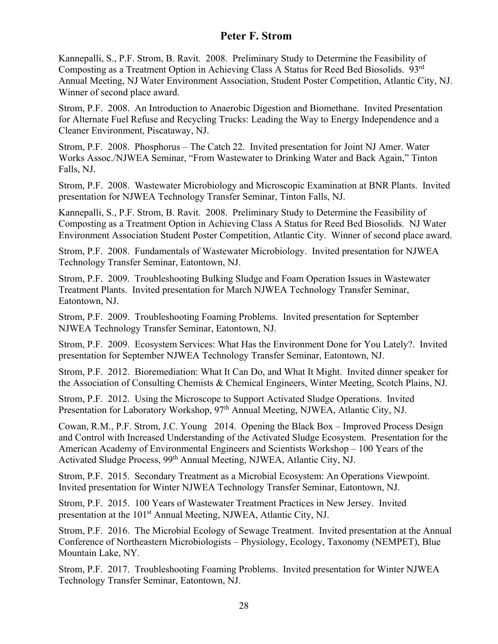Kannepalli, S., P.F. Strom, B. Ravit. 2008. Preliminary Study to Determine the Feasibility of Composting as a Treatment Option in Achieving Class A Status for Reed Bed Biosolids. 93rd Annual Meeting, NJ Water Environment Association, Student Poster Competition, Atlantic City, NJ. Winner of second place award.

Strom, P.F. 2008. An Introduction to Anaerobic Digestion and Biomethane. Invited Presentation for Alternate Fuel Refuse and Recycling Trucks: Leading the Way to Energy Independence and a Cleaner Environment, Piscataway, NJ.

Strom, P.F. 2008. Phosphorus – The Catch 22. Invited presentation for Joint NJ Amer. Water Works Assoc./NJWEA Seminar, "From Wastewater to Drinking Water and Back Again," Tinton Falls, NJ.

Strom, P.F. 2008. Wastewater Microbiology and Microscopic Examination at BNR Plants. Invited presentation for NJWEA Technology Transfer Seminar, Tinton Falls, NJ.

Kannepalli, S., P.F. Strom, B. Ravit. 2008. Preliminary Study to Determine the Feasibility of Composting as a Treatment Option in Achieving Class A Status for Reed Bed Biosolids. NJ Water Environment Association Student Poster Competition, Atlantic City. Winner of second place award.

Strom, P.F. 2008. Fundamentals of Wastewater Microbiology. Invited presentation for NJWEA Technology Transfer Seminar, Eatontown, NJ.

Strom, P.F. 2009. Troubleshooting Bulking Sludge and Foam Operation Issues in Wastewater Treatment Plants. Invited presentation for March NJWEA Technology Transfer Seminar, Eatontown, NJ.

Strom, P.F. 2009. Troubleshooting Foaming Problems. Invited presentation for September NJWEA Technology Transfer Seminar, Eatontown, NJ.

Strom, P.F. 2009. Ecosystem Services: What Has the Environment Done for You Lately?. Invited presentation for September NJWEA Technology Transfer Seminar, Eatontown, NJ.

Strom, P.F. 2012. Bioremediation: What It Can Do, and What It Might. Invited dinner speaker for the Association of Consulting Chemists & Chemical Engineers, Winter Meeting, Scotch Plains, NJ.

Strom, P.F. 2012. Using the Microscope to Support Activated Sludge Operations. Invited Presentation for Laboratory Workshop, 97<sup>th</sup> Annual Meeting, NJWEA, Atlantic City, NJ.

Cowan, R.M., P.F. Strom, J.C. Young 2014. Opening the Black Box – Improved Process Design and Control with Increased Understanding of the Activated Sludge Ecosystem. Presentation for the American Academy of Environmental Engineers and Scientists Workshop – 100 Years of the Activated Sludge Process, 99th Annual Meeting, NJWEA, Atlantic City, NJ.

Strom, P.F. 2015. Secondary Treatment as a Microbial Ecosystem: An Operations Viewpoint. Invited presentation for Winter NJWEA Technology Transfer Seminar, Eatontown, NJ.

Strom, P.F. 2015. 100 Years of Wastewater Treatment Practices in New Jersey. Invited presentation at the 101st Annual Meeting, NJWEA, Atlantic City, NJ.

Strom, P.F. 2016. The Microbial Ecology of Sewage Treatment. Invited presentation at the Annual Conference of Northeastern Microbiologists – Physiology, Ecology, Taxonomy (NEMPET), Blue Mountain Lake, NY.

Strom, P.F. 2017. Troubleshooting Foaming Problems. Invited presentation for Winter NJWEA Technology Transfer Seminar, Eatontown, NJ.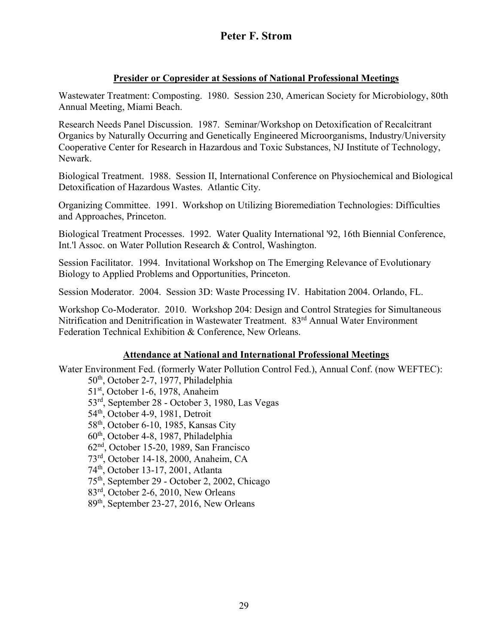### **Presider or Copresider at Sessions of National Professional Meetings**

Wastewater Treatment: Composting. 1980. Session 230, American Society for Microbiology, 80th Annual Meeting, Miami Beach.

Research Needs Panel Discussion. 1987. Seminar/Workshop on Detoxification of Recalcitrant Organics by Naturally Occurring and Genetically Engineered Microorganisms, Industry/University Cooperative Center for Research in Hazardous and Toxic Substances, NJ Institute of Technology, Newark.

Biological Treatment. 1988. Session II, International Conference on Physiochemical and Biological Detoxification of Hazardous Wastes. Atlantic City.

Organizing Committee. 1991. Workshop on Utilizing Bioremediation Technologies: Difficulties and Approaches, Princeton.

Biological Treatment Processes. 1992. Water Quality International '92, 16th Biennial Conference, Int.'l Assoc. on Water Pollution Research & Control, Washington.

Session Facilitator. 1994. Invitational Workshop on The Emerging Relevance of Evolutionary Biology to Applied Problems and Opportunities, Princeton.

Session Moderator. 2004. Session 3D: Waste Processing IV. Habitation 2004. Orlando, FL.

Workshop Co-Moderator. 2010. Workshop 204: Design and Control Strategies for Simultaneous Nitrification and Denitrification in Wastewater Treatment. 83<sup>rd</sup> Annual Water Environment Federation Technical Exhibition & Conference, New Orleans.

### **Attendance at National and International Professional Meetings**

Water Environment Fed. (formerly Water Pollution Control Fed.), Annual Conf. (now WEFTEC):

50th, October 2-7, 1977, Philadelphia

51<sup>st</sup>, October 1-6, 1978, Anaheim

53rd, September 28 - October 3, 1980, Las Vegas

54<sup>th</sup>, October 4-9, 1981, Detroit

58<sup>th</sup>, October 6-10, 1985, Kansas City

60th, October 4-8, 1987, Philadelphia

62nd, October 15-20, 1989, San Francisco

73rd, October 14-18, 2000, Anaheim, CA

74th, October 13-17, 2001, Atlanta

75th, September 29 - October 2, 2002, Chicago

83rd, October 2-6, 2010, New Orleans

89th, September 23-27, 2016, New Orleans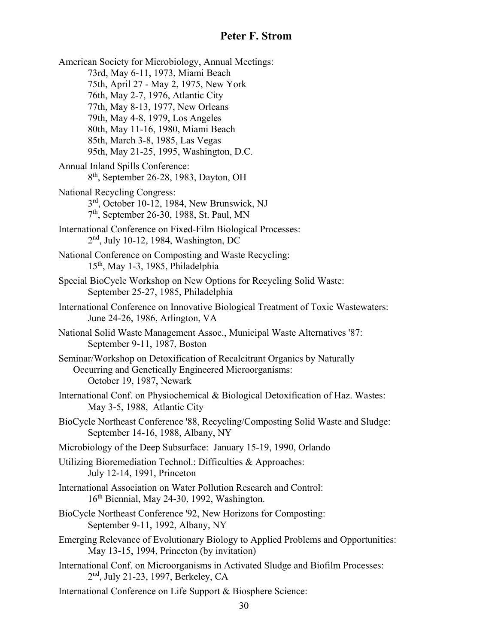American Society for Microbiology, Annual Meetings: 73rd, May 6-11, 1973, Miami Beach 75th, April 27 - May 2, 1975, New York 76th, May 2-7, 1976, Atlantic City 77th, May 8-13, 1977, New Orleans 79th, May 4-8, 1979, Los Angeles 80th, May 11-16, 1980, Miami Beach 85th, March 3-8, 1985, Las Vegas 95th, May 21-25, 1995, Washington, D.C. Annual Inland Spills Conference: 8th, September 26-28, 1983, Dayton, OH National Recycling Congress: 3rd, October 10-12, 1984, New Brunswick, NJ 7th, September 26-30, 1988, St. Paul, MN International Conference on Fixed-Film Biological Processes: 2nd, July 10-12, 1984, Washington, DC National Conference on Composting and Waste Recycling: 15th, May 1-3, 1985, Philadelphia Special BioCycle Workshop on New Options for Recycling Solid Waste: September 25-27, 1985, Philadelphia International Conference on Innovative Biological Treatment of Toxic Wastewaters: June 24-26, 1986, Arlington, VA National Solid Waste Management Assoc., Municipal Waste Alternatives '87: September 9-11, 1987, Boston Seminar/Workshop on Detoxification of Recalcitrant Organics by Naturally Occurring and Genetically Engineered Microorganisms: October 19, 1987, Newark International Conf. on Physiochemical & Biological Detoxification of Haz. Wastes: May 3-5, 1988, Atlantic City BioCycle Northeast Conference '88, Recycling/Composting Solid Waste and Sludge: September 14-16, 1988, Albany, NY Microbiology of the Deep Subsurface: January 15-19, 1990, Orlando Utilizing Bioremediation Technol.: Difficulties & Approaches: July 12-14, 1991, Princeton International Association on Water Pollution Research and Control: 16th Biennial, May 24-30, 1992, Washington. BioCycle Northeast Conference '92, New Horizons for Composting: September 9-11, 1992, Albany, NY Emerging Relevance of Evolutionary Biology to Applied Problems and Opportunities: May 13-15, 1994, Princeton (by invitation) International Conf. on Microorganisms in Activated Sludge and Biofilm Processes: 2nd, July 21-23, 1997, Berkeley, CA International Conference on Life Support & Biosphere Science: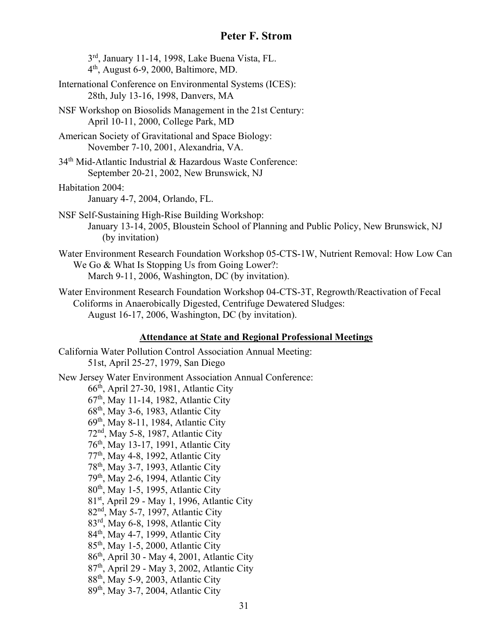3rd, January 11-14, 1998, Lake Buena Vista, FL. 4th, August 6-9, 2000, Baltimore, MD. International Conference on Environmental Systems (ICES): 28th, July 13-16, 1998, Danvers, MA NSF Workshop on Biosolids Management in the 21st Century: April 10-11, 2000, College Park, MD

American Society of Gravitational and Space Biology: November 7-10, 2001, Alexandria, VA.

34<sup>th</sup> Mid-Atlantic Industrial & Hazardous Waste Conference: September 20-21, 2002, New Brunswick, NJ

Habitation 2004:

January 4-7, 2004, Orlando, FL.

NSF Self-Sustaining High-Rise Building Workshop: January 13-14, 2005, Bloustein School of Planning and Public Policy, New Brunswick, NJ (by invitation)

Water Environment Research Foundation Workshop 05-CTS-1W, Nutrient Removal: How Low Can We Go & What Is Stopping Us from Going Lower?: March 9-11, 2006, Washington, DC (by invitation).

Water Environment Research Foundation Workshop 04-CTS-3T, Regrowth/Reactivation of Fecal Coliforms in Anaerobically Digested, Centrifuge Dewatered Sludges: August 16-17, 2006, Washington, DC (by invitation).

#### **Attendance at State and Regional Professional Meetings**

California Water Pollution Control Association Annual Meeting: 51st, April 25-27, 1979, San Diego New Jersey Water Environment Association Annual Conference: 66th, April 27-30, 1981, Atlantic City 67th, May 11-14, 1982, Atlantic City 68th, May 3-6, 1983, Atlantic City 69th, May 8-11, 1984, Atlantic City 72nd, May 5-8, 1987, Atlantic City 76th, May 13-17, 1991, Atlantic City 77<sup>th</sup>, May 4-8, 1992, Atlantic City 78th, May 3-7, 1993, Atlantic City 79th, May 2-6, 1994, Atlantic City 80th, May 1-5, 1995, Atlantic City 81st, April 29 - May 1, 1996, Atlantic City 82nd, May 5-7, 1997, Atlantic City 83rd, May 6-8, 1998, Atlantic City 84<sup>th</sup>, May 4-7, 1999, Atlantic City 85th, May 1-5, 2000, Atlantic City 86th, April 30 - May 4, 2001, Atlantic City 87th, April 29 - May 3, 2002, Atlantic City 88th, May 5-9, 2003, Atlantic City 89<sup>th</sup>, May 3-7, 2004, Atlantic City